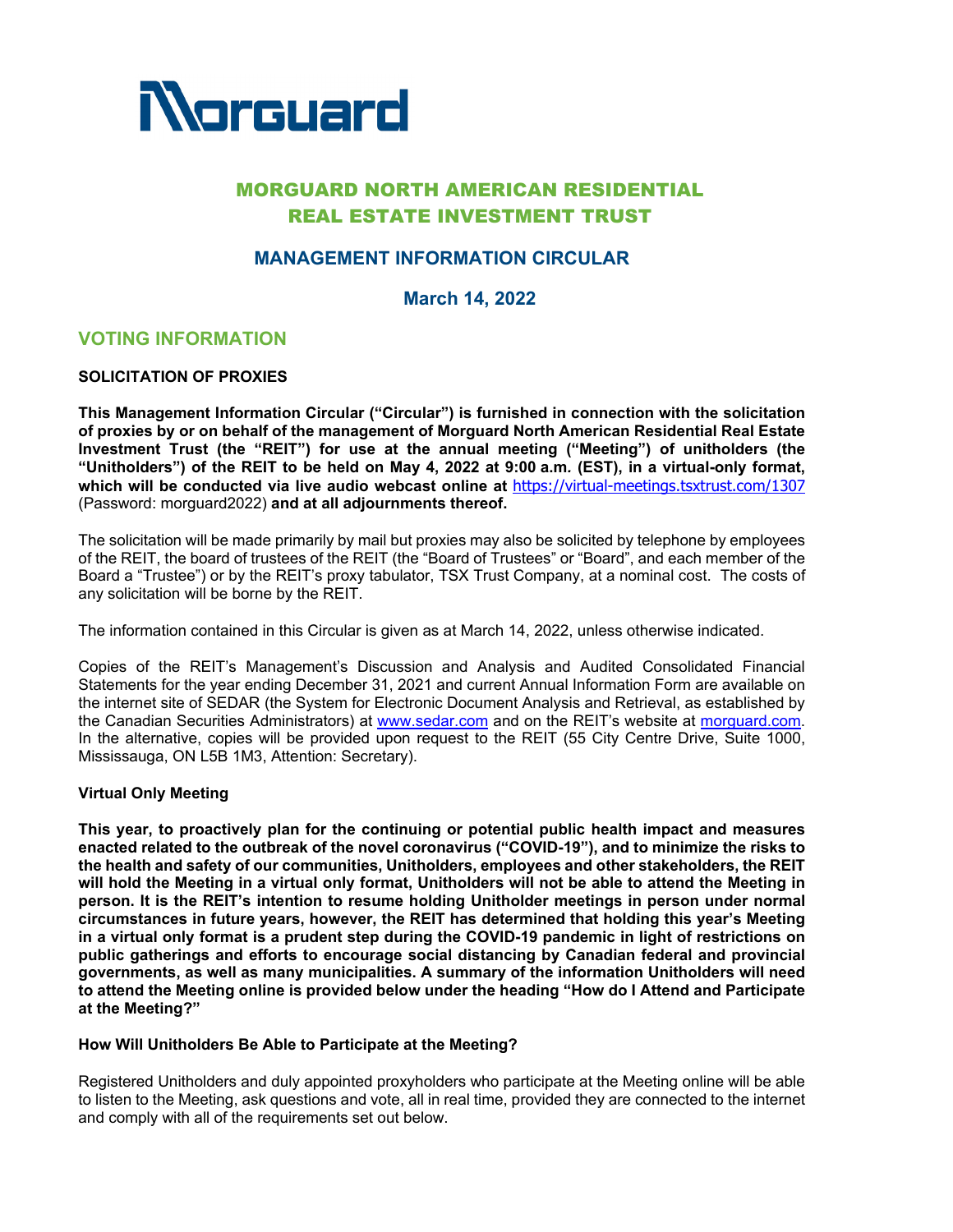

# MORGUARD NORTH AMERICAN RESIDENTIAL REAL ESTATE INVESTMENT TRUST

# **MANAGEMENT INFORMATION CIRCULAR**

**March 14, 2022**

# **VOTING INFORMATION**

## **SOLICITATION OF PROXIES**

**This Management Information Circular ("Circular") is furnished in connection with the solicitation of proxies by or on behalf of the management of Morguard North American Residential Real Estate Investment Trust (the "REIT") for use at the annual meeting ("Meeting") of unitholders (the "Unitholders") of the REIT to be held on May 4, 2022 at 9:00 a.m***.* **(EST), in a virtual-only format, which will be conducted via live audio webcast online at** https://virtual-meetings.tsxtrust.com/1307 (Password: morguard2022) **and at all adjournments thereof.**

The solicitation will be made primarily by mail but proxies may also be solicited by telephone by employees of the REIT, the board of trustees of the REIT (the "Board of Trustees" or "Board", and each member of the Board a "Trustee") or by the REIT's proxy tabulator, TSX Trust Company, at a nominal cost. The costs of any solicitation will be borne by the REIT.

The information contained in this Circular is given as at March 14, 2022, unless otherwise indicated.

Copies of the REIT's Management's Discussion and Analysis and Audited Consolidated Financial Statements for the year ending December 31, 2021 and current Annual Information Form are available on the internet site of SEDAR (the System for Electronic Document Analysis and Retrieval, as established by the Canadian Securities Administrators) at www.sedar.com and on the REIT's website at morguard.com. In the alternative, copies will be provided upon request to the REIT (55 City Centre Drive, Suite 1000, Mississauga, ON L5B 1M3, Attention: Secretary).

#### **Virtual Only Meeting**

**This year, to proactively plan for the continuing or potential public health impact and measures enacted related to the outbreak of the novel coronavirus ("COVID-19"), and to minimize the risks to the health and safety of our communities, Unitholders, employees and other stakeholders, the REIT will hold the Meeting in a virtual only format, Unitholders will not be able to attend the Meeting in person. It is the REIT's intention to resume holding Unitholder meetings in person under normal circumstances in future years, however, the REIT has determined that holding this year's Meeting in a virtual only format is a prudent step during the COVID-19 pandemic in light of restrictions on public gatherings and efforts to encourage social distancing by Canadian federal and provincial governments, as well as many municipalities. A summary of the information Unitholders will need to attend the Meeting online is provided below under the heading "How do I Attend and Participate at the Meeting?"** 

## **How Will Unitholders Be Able to Participate at the Meeting?**

Registered Unitholders and duly appointed proxyholders who participate at the Meeting online will be able to listen to the Meeting, ask questions and vote, all in real time, provided they are connected to the internet and comply with all of the requirements set out below.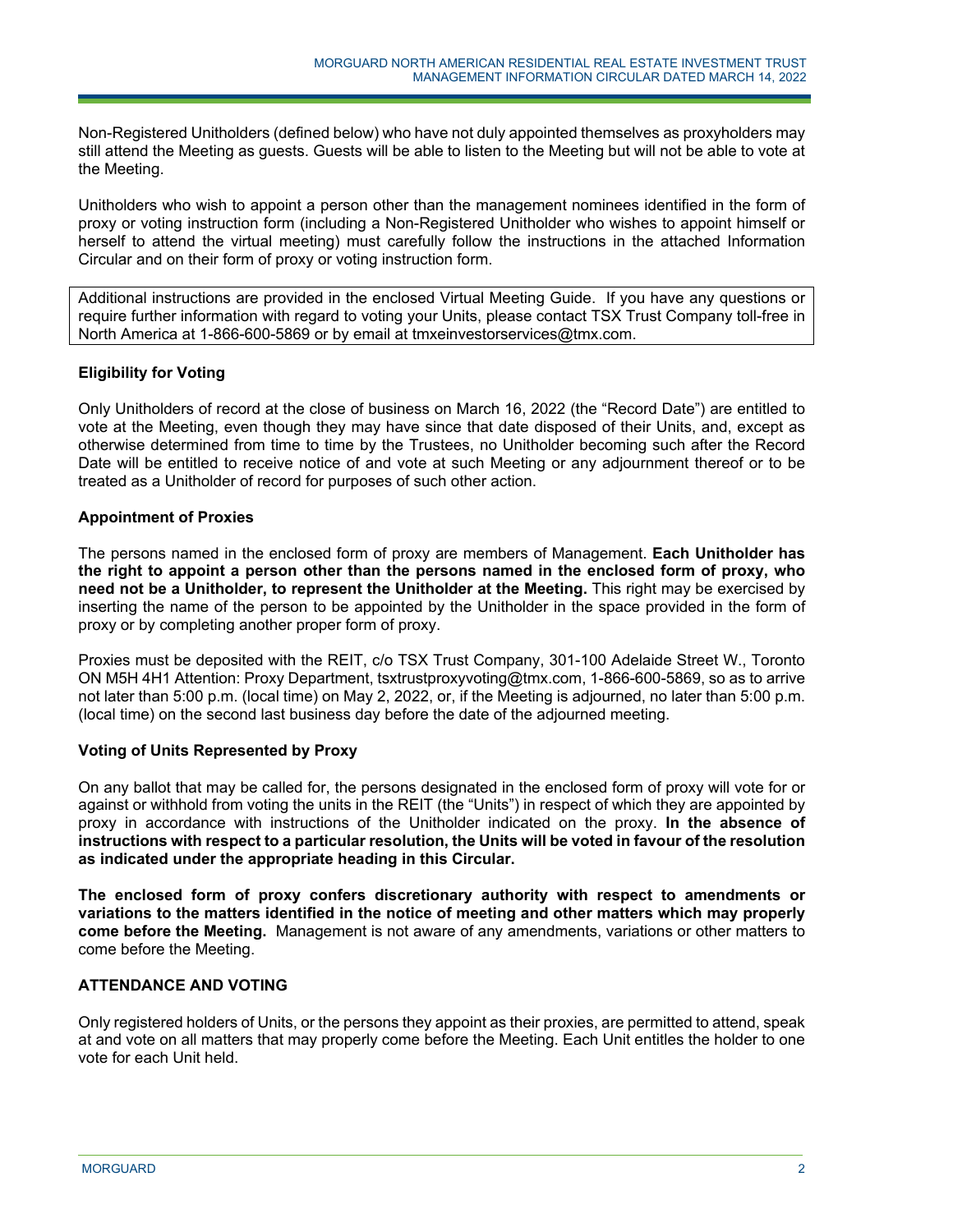Non-Registered Unitholders (defined below) who have not duly appointed themselves as proxyholders may still attend the Meeting as guests. Guests will be able to listen to the Meeting but will not be able to vote at the Meeting.

Unitholders who wish to appoint a person other than the management nominees identified in the form of proxy or voting instruction form (including a Non-Registered Unitholder who wishes to appoint himself or herself to attend the virtual meeting) must carefully follow the instructions in the attached Information Circular and on their form of proxy or voting instruction form.

Additional instructions are provided in the enclosed Virtual Meeting Guide. If you have any questions or require further information with regard to voting your Units, please contact TSX Trust Company toll-free in North America at 1-866-600-5869 or by email at tmxeinvestorservices@tmx.com.

# **Eligibility for Voting**

Only Unitholders of record at the close of business on March 16, 2022 (the "Record Date") are entitled to vote at the Meeting, even though they may have since that date disposed of their Units, and, except as otherwise determined from time to time by the Trustees, no Unitholder becoming such after the Record Date will be entitled to receive notice of and vote at such Meeting or any adjournment thereof or to be treated as a Unitholder of record for purposes of such other action.

## **Appointment of Proxies**

The persons named in the enclosed form of proxy are members of Management. **Each Unitholder has the right to appoint a person other than the persons named in the enclosed form of proxy, who need not be a Unitholder, to represent the Unitholder at the Meeting.** This right may be exercised by inserting the name of the person to be appointed by the Unitholder in the space provided in the form of proxy or by completing another proper form of proxy.

Proxies must be deposited with the REIT, c/o TSX Trust Company, 301-100 Adelaide Street W., Toronto ON M5H 4H1 Attention: Proxy Department, tsxtrustproxyvoting@tmx.com, 1-866-600-5869, so as to arrive not later than 5:00 p.m. (local time) on May 2, 2022, or, if the Meeting is adjourned, no later than 5:00 p.m. (local time) on the second last business day before the date of the adjourned meeting.

# **Voting of Units Represented by Proxy**

On any ballot that may be called for, the persons designated in the enclosed form of proxy will vote for or against or withhold from voting the units in the REIT (the "Units") in respect of which they are appointed by proxy in accordance with instructions of the Unitholder indicated on the proxy. **In the absence of instructions with respect to a particular resolution, the Units will be voted in favour of the resolution as indicated under the appropriate heading in this Circular.**

**The enclosed form of proxy confers discretionary authority with respect to amendments or variations to the matters identified in the notice of meeting and other matters which may properly come before the Meeting.** Management is not aware of any amendments, variations or other matters to come before the Meeting.

# **ATTENDANCE AND VOTING**

Only registered holders of Units, or the persons they appoint as their proxies, are permitted to attend, speak at and vote on all matters that may properly come before the Meeting. Each Unit entitles the holder to one vote for each Unit held.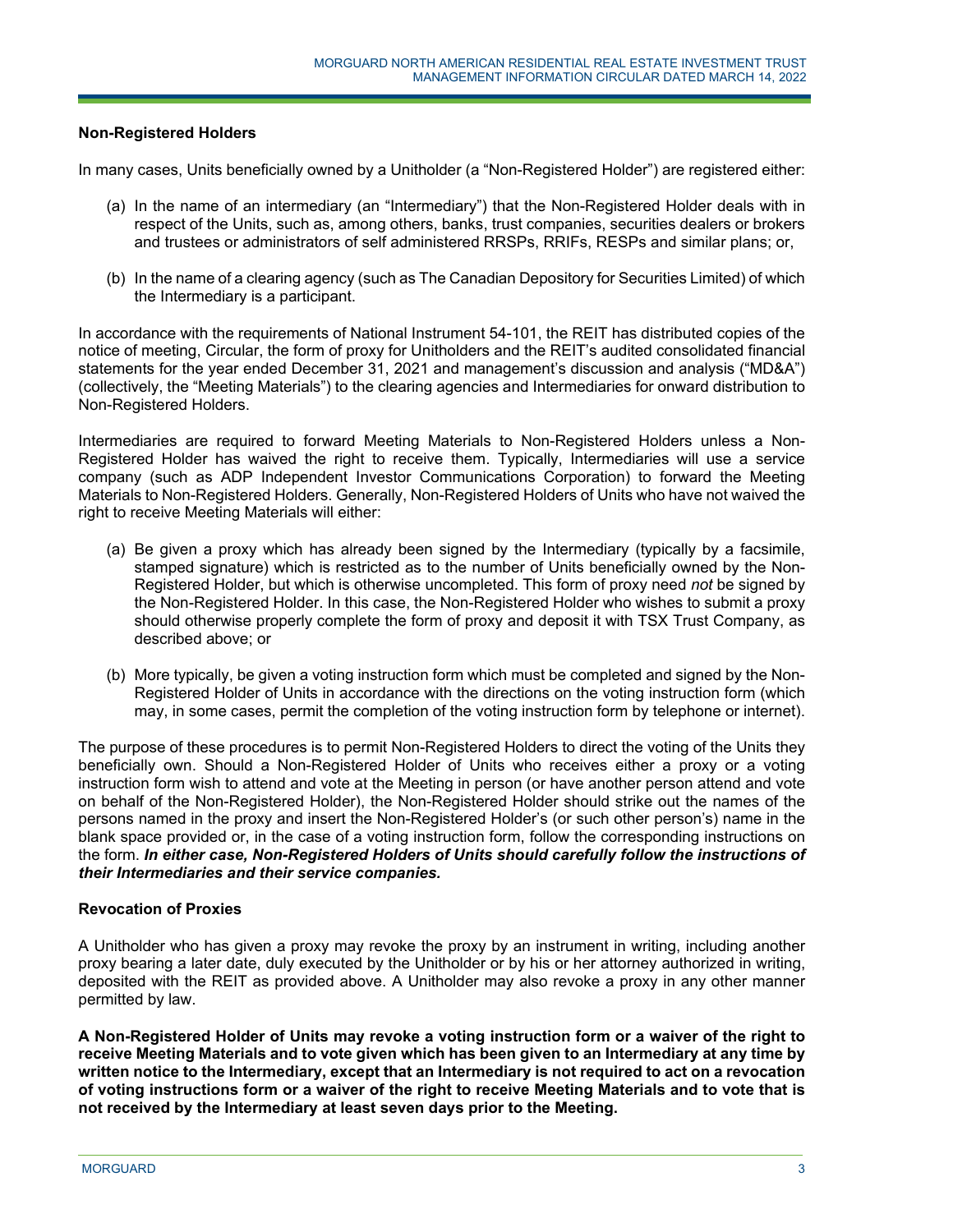# **Non-Registered Holders**

In many cases, Units beneficially owned by a Unitholder (a "Non-Registered Holder") are registered either:

- (a) In the name of an intermediary (an "Intermediary") that the Non-Registered Holder deals with in respect of the Units, such as, among others, banks, trust companies, securities dealers or brokers and trustees or administrators of self administered RRSPs, RRIFs, RESPs and similar plans; or,
- (b) In the name of a clearing agency (such as The Canadian Depository for Securities Limited) of which the Intermediary is a participant.

In accordance with the requirements of National Instrument 54-101, the REIT has distributed copies of the notice of meeting, Circular, the form of proxy for Unitholders and the REIT's audited consolidated financial statements for the year ended December 31, 2021 and management's discussion and analysis ("MD&A") (collectively, the "Meeting Materials") to the clearing agencies and Intermediaries for onward distribution to Non-Registered Holders.

Intermediaries are required to forward Meeting Materials to Non-Registered Holders unless a Non-Registered Holder has waived the right to receive them. Typically, Intermediaries will use a service company (such as ADP Independent Investor Communications Corporation) to forward the Meeting Materials to Non-Registered Holders. Generally, Non-Registered Holders of Units who have not waived the right to receive Meeting Materials will either:

- (a) Be given a proxy which has already been signed by the Intermediary (typically by a facsimile, stamped signature) which is restricted as to the number of Units beneficially owned by the Non-Registered Holder, but which is otherwise uncompleted. This form of proxy need *not* be signed by the Non-Registered Holder. In this case, the Non-Registered Holder who wishes to submit a proxy should otherwise properly complete the form of proxy and deposit it with TSX Trust Company, as described above; or
- (b) More typically, be given a voting instruction form which must be completed and signed by the Non-Registered Holder of Units in accordance with the directions on the voting instruction form (which may, in some cases, permit the completion of the voting instruction form by telephone or internet).

The purpose of these procedures is to permit Non-Registered Holders to direct the voting of the Units they beneficially own. Should a Non-Registered Holder of Units who receives either a proxy or a voting instruction form wish to attend and vote at the Meeting in person (or have another person attend and vote on behalf of the Non-Registered Holder), the Non-Registered Holder should strike out the names of the persons named in the proxy and insert the Non-Registered Holder's (or such other person's) name in the blank space provided or, in the case of a voting instruction form, follow the corresponding instructions on the form. *In either case, Non-Registered Holders of Units should carefully follow the instructions of their Intermediaries and their service companies.*

#### **Revocation of Proxies**

A Unitholder who has given a proxy may revoke the proxy by an instrument in writing, including another proxy bearing a later date, duly executed by the Unitholder or by his or her attorney authorized in writing, deposited with the REIT as provided above. A Unitholder may also revoke a proxy in any other manner permitted by law.

**A Non-Registered Holder of Units may revoke a voting instruction form or a waiver of the right to receive Meeting Materials and to vote given which has been given to an Intermediary at any time by written notice to the Intermediary, except that an Intermediary is not required to act on a revocation of voting instructions form or a waiver of the right to receive Meeting Materials and to vote that is not received by the Intermediary at least seven days prior to the Meeting.**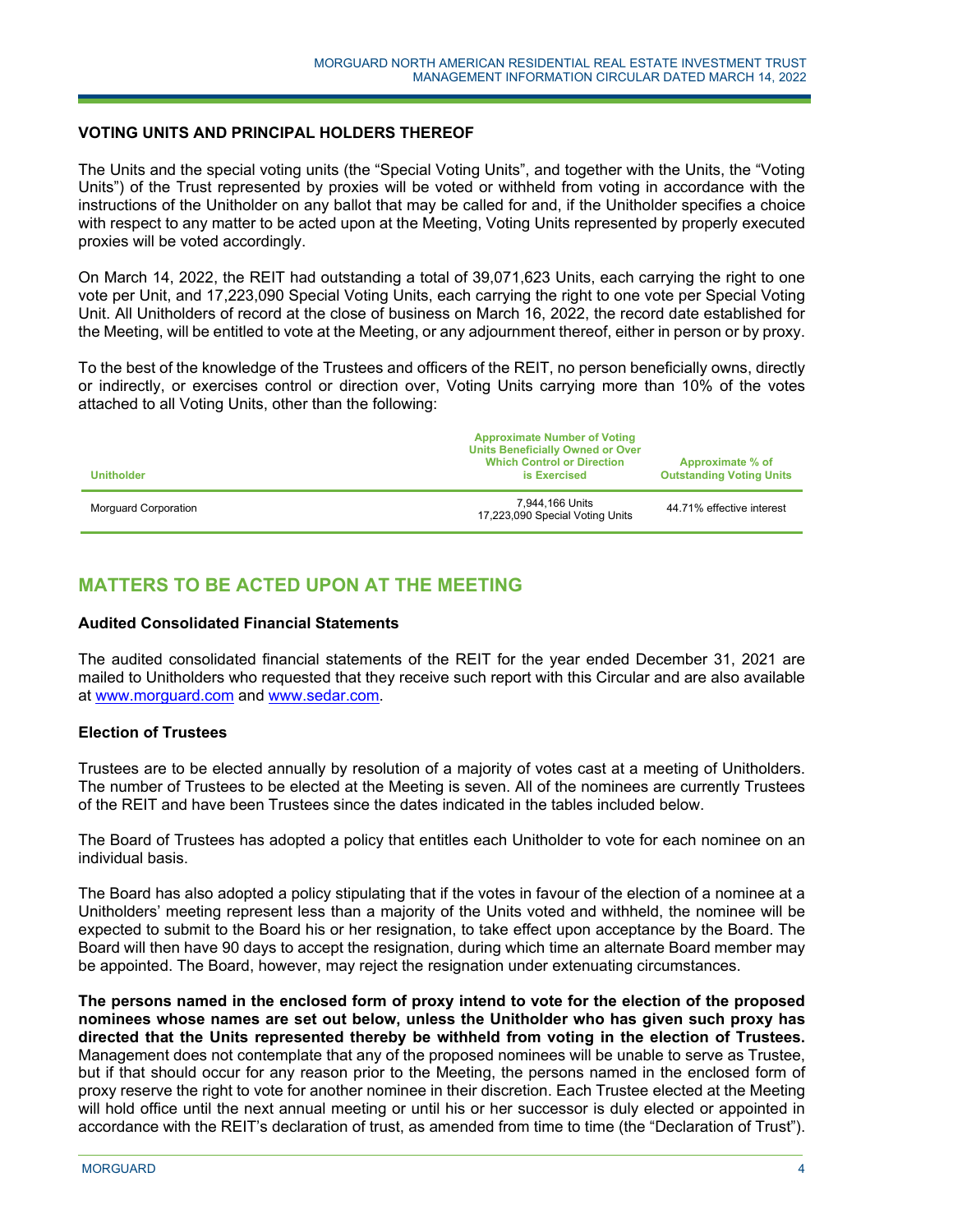## **VOTING UNITS AND PRINCIPAL HOLDERS THEREOF**

The Units and the special voting units (the "Special Voting Units", and together with the Units, the "Voting Units") of the Trust represented by proxies will be voted or withheld from voting in accordance with the instructions of the Unitholder on any ballot that may be called for and, if the Unitholder specifies a choice with respect to any matter to be acted upon at the Meeting, Voting Units represented by properly executed proxies will be voted accordingly.

On March 14, 2022, the REIT had outstanding a total of 39,071,623 Units, each carrying the right to one vote per Unit, and 17,223,090 Special Voting Units, each carrying the right to one vote per Special Voting Unit. All Unitholders of record at the close of business on March 16, 2022, the record date established for the Meeting, will be entitled to vote at the Meeting, or any adjournment thereof, either in person or by proxy.

To the best of the knowledge of the Trustees and officers of the REIT, no person beneficially owns, directly or indirectly, or exercises control or direction over, Voting Units carrying more than 10% of the votes attached to all Voting Units, other than the following:

| <b>Unitholder</b>    | <b>Approximate Number of Voting</b><br><b>Units Beneficially Owned or Over</b><br><b>Which Control or Direction</b><br>is Exercised | Approximate % of<br><b>Outstanding Voting Units</b> |
|----------------------|-------------------------------------------------------------------------------------------------------------------------------------|-----------------------------------------------------|
| Morguard Corporation | 7.944.166 Units<br>17,223,090 Special Voting Units                                                                                  | 44.71% effective interest                           |

# **MATTERS TO BE ACTED UPON AT THE MEETING**

j

#### **Audited Consolidated Financial Statements**

The audited consolidated financial statements of the REIT for the year ended December 31, 2021 are mailed to Unitholders who requested that they receive such report with this Circular and are also available at www.morguard.com and www.sedar.com.

# **Election of Trustees**

Trustees are to be elected annually by resolution of a majority of votes cast at a meeting of Unitholders. The number of Trustees to be elected at the Meeting is seven. All of the nominees are currently Trustees of the REIT and have been Trustees since the dates indicated in the tables included below.

The Board of Trustees has adopted a policy that entitles each Unitholder to vote for each nominee on an individual basis.

The Board has also adopted a policy stipulating that if the votes in favour of the election of a nominee at a Unitholders' meeting represent less than a majority of the Units voted and withheld, the nominee will be expected to submit to the Board his or her resignation, to take effect upon acceptance by the Board. The Board will then have 90 days to accept the resignation, during which time an alternate Board member may be appointed. The Board, however, may reject the resignation under extenuating circumstances.

**The persons named in the enclosed form of proxy intend to vote for the election of the proposed nominees whose names are set out below, unless the Unitholder who has given such proxy has directed that the Units represented thereby be withheld from voting in the election of Trustees.** Management does not contemplate that any of the proposed nominees will be unable to serve as Trustee, but if that should occur for any reason prior to the Meeting, the persons named in the enclosed form of proxy reserve the right to vote for another nominee in their discretion. Each Trustee elected at the Meeting will hold office until the next annual meeting or until his or her successor is duly elected or appointed in accordance with the REIT's declaration of trust, as amended from time to time (the "Declaration of Trust").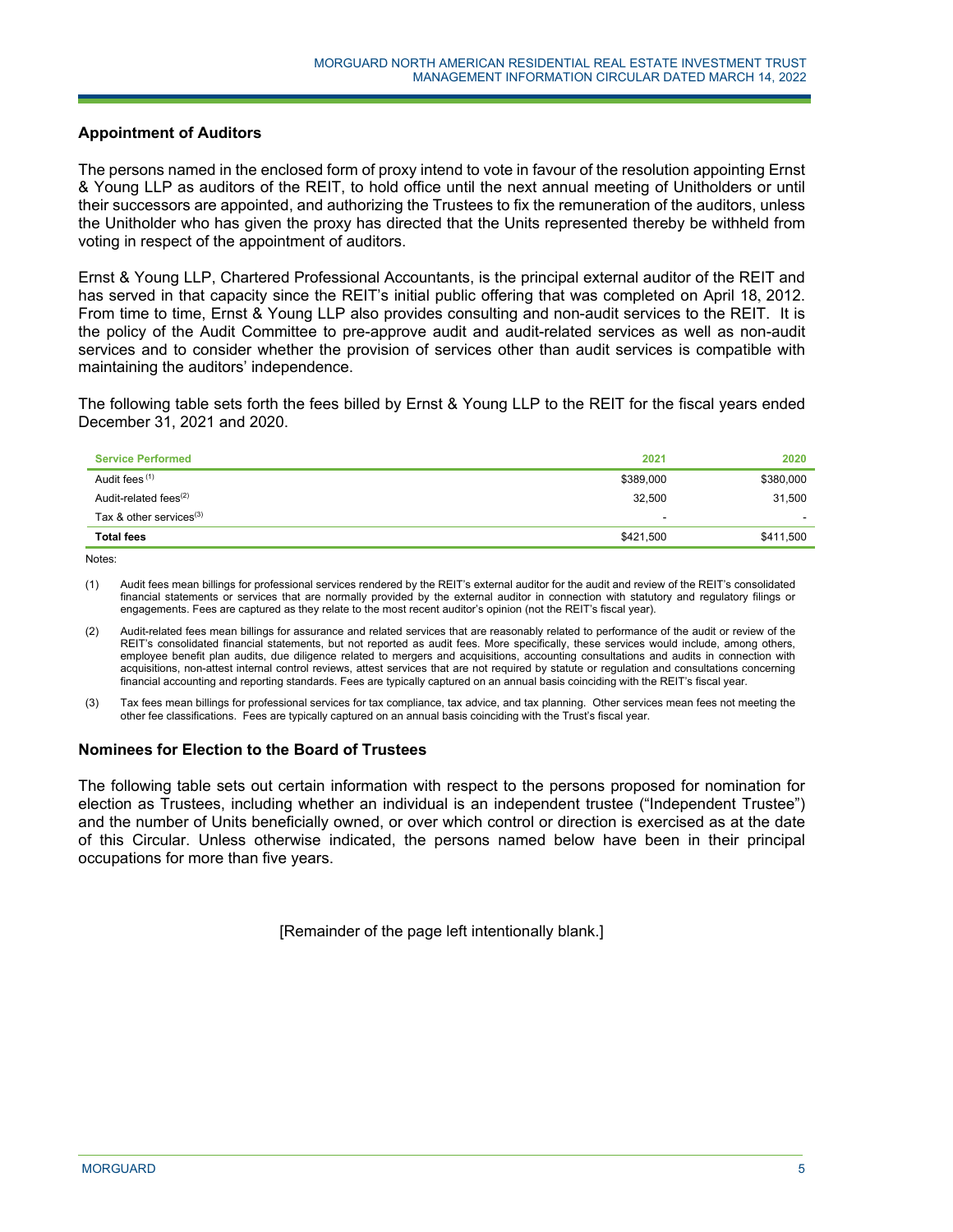## **Appointment of Auditors**

The persons named in the enclosed form of proxy intend to vote in favour of the resolution appointing Ernst & Young LLP as auditors of the REIT, to hold office until the next annual meeting of Unitholders or until their successors are appointed, and authorizing the Trustees to fix the remuneration of the auditors, unless the Unitholder who has given the proxy has directed that the Units represented thereby be withheld from voting in respect of the appointment of auditors.

Ernst & Young LLP, Chartered Professional Accountants, is the principal external auditor of the REIT and has served in that capacity since the REIT's initial public offering that was completed on April 18, 2012. From time to time, Ernst & Young LLP also provides consulting and non-audit services to the REIT. It is the policy of the Audit Committee to pre-approve audit and audit-related services as well as non-audit services and to consider whether the provision of services other than audit services is compatible with maintaining the auditors' independence.

The following table sets forth the fees billed by Ernst & Young LLP to the REIT for the fiscal years ended December 31, 2021 and 2020.

| <b>Service Performed</b>   | 2021      | 2020      |
|----------------------------|-----------|-----------|
| Audit fees (1)             | \$389,000 | \$380,000 |
| Audit-related fees $(2)$   | 32,500    | 31,500    |
| Tax & other services $(3)$ | -         |           |
| <b>Total fees</b>          | \$421,500 | \$411,500 |
|                            |           |           |

Notes:

(1) Audit fees mean billings for professional services rendered by the REIT's external auditor for the audit and review of the REIT's consolidated financial statements or services that are normally provided by the external auditor in connection with statutory and regulatory filings or engagements. Fees are captured as they relate to the most recent auditor's opinion (not the REIT's fiscal year).

- (2) Audit-related fees mean billings for assurance and related services that are reasonably related to performance of the audit or review of the REIT's consolidated financial statements, but not reported as audit fees. More specifically, these services would include, among others, employee benefit plan audits, due diligence related to mergers and acquisitions, accounting consultations and audits in connection with acquisitions, non-attest internal control reviews, attest services that are not required by statute or regulation and consultations concerning financial accounting and reporting standards. Fees are typically captured on an annual basis coinciding with the REIT's fiscal year.
- (3) Tax fees mean billings for professional services for tax compliance, tax advice, and tax planning. Other services mean fees not meeting the other fee classifications. Fees are typically captured on an annual basis coinciding with the Trust's fiscal year.

#### **Nominees for Election to the Board of Trustees**

j

The following table sets out certain information with respect to the persons proposed for nomination for election as Trustees, including whether an individual is an independent trustee ("Independent Trustee") and the number of Units beneficially owned, or over which control or direction is exercised as at the date of this Circular. Unless otherwise indicated, the persons named below have been in their principal occupations for more than five years.

[Remainder of the page left intentionally blank.]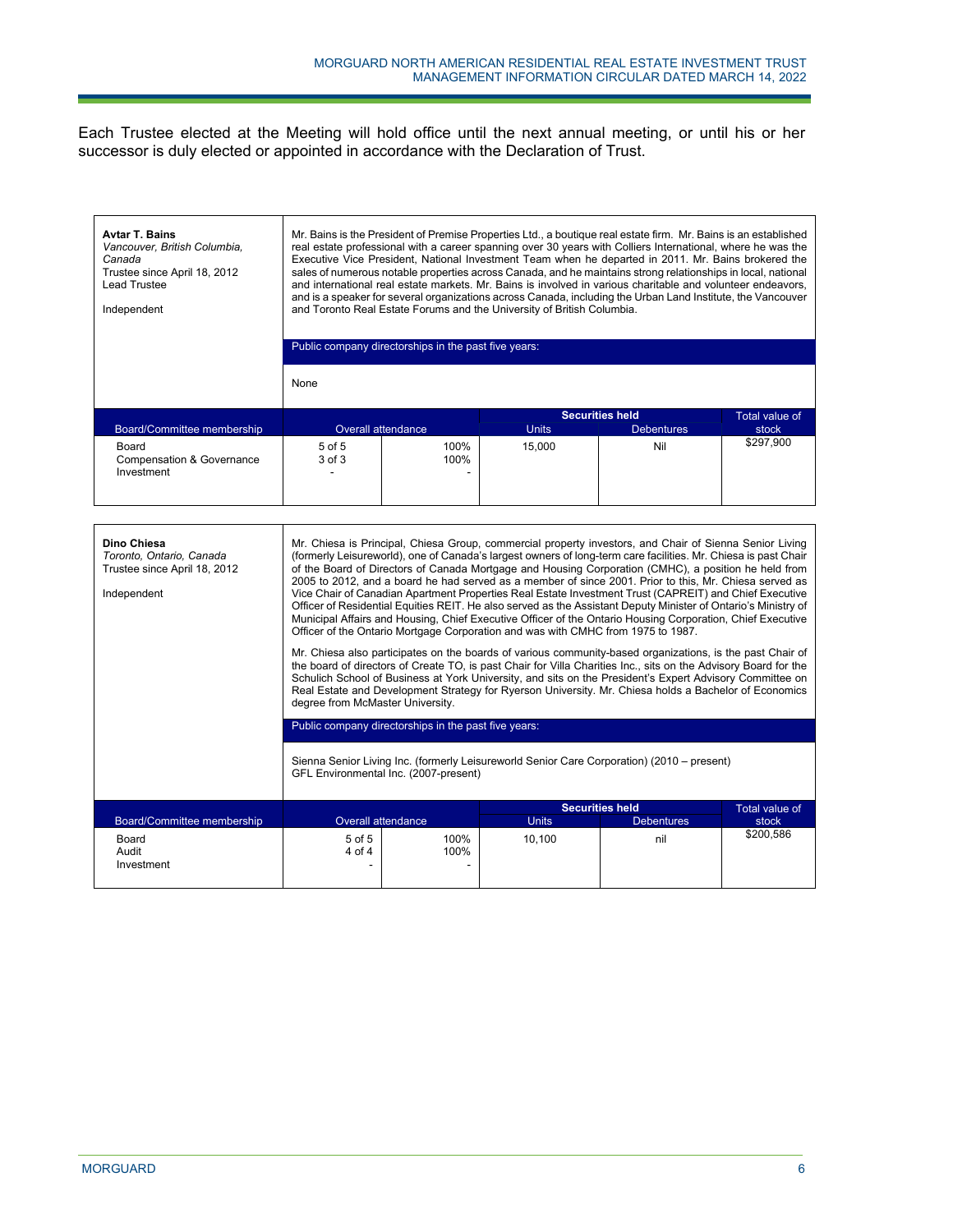Each Trustee elected at the Meeting will hold office until the next annual meeting, or until his or her successor is duly elected or appointed in accordance with the Declaration of Trust.

| <b>Avtar T. Bains</b><br>Vancouver, British Columbia,<br>Canada<br>Trustee since April 18, 2012<br>Lead Trustee<br>Independent | Mr. Bains is the President of Premise Properties Ltd., a boutique real estate firm. Mr. Bains is an established<br>real estate professional with a career spanning over 30 years with Colliers International, where he was the<br>Executive Vice President, National Investment Team when he departed in 2011. Mr. Bains brokered the<br>sales of numerous notable properties across Canada, and he maintains strong relationships in local, national<br>and international real estate markets. Mr. Bains is involved in various charitable and volunteer endeavors,<br>and is a speaker for several organizations across Canada, including the Urban Land Institute, the Vancouver<br>and Toronto Real Estate Forums and the University of British Columbia.<br>Public company directorships in the past five years:<br>None                                                                                                                                                                                                                                                                                                                                                                                                                                                                                                                                                                                                                                                                                                                                     |                           |              |                                             |                         |  |
|--------------------------------------------------------------------------------------------------------------------------------|-------------------------------------------------------------------------------------------------------------------------------------------------------------------------------------------------------------------------------------------------------------------------------------------------------------------------------------------------------------------------------------------------------------------------------------------------------------------------------------------------------------------------------------------------------------------------------------------------------------------------------------------------------------------------------------------------------------------------------------------------------------------------------------------------------------------------------------------------------------------------------------------------------------------------------------------------------------------------------------------------------------------------------------------------------------------------------------------------------------------------------------------------------------------------------------------------------------------------------------------------------------------------------------------------------------------------------------------------------------------------------------------------------------------------------------------------------------------------------------------------------------------------------------------------------------------|---------------------------|--------------|---------------------------------------------|-------------------------|--|
| Board/Committee membership                                                                                                     |                                                                                                                                                                                                                                                                                                                                                                                                                                                                                                                                                                                                                                                                                                                                                                                                                                                                                                                                                                                                                                                                                                                                                                                                                                                                                                                                                                                                                                                                                                                                                                   | <b>Overall attendance</b> | <b>Units</b> | <b>Securities held</b><br><b>Debentures</b> | Total value of<br>stock |  |
| Board<br><b>Compensation &amp; Governance</b><br>Investment                                                                    | $5$ of $5$<br>3 of 3                                                                                                                                                                                                                                                                                                                                                                                                                                                                                                                                                                                                                                                                                                                                                                                                                                                                                                                                                                                                                                                                                                                                                                                                                                                                                                                                                                                                                                                                                                                                              | 100%<br>100%              | 15.000       | Nil                                         | \$297,900               |  |
| Dino Chiesa<br>Toronto, Ontario, Canada<br>Trustee since April 18, 2012<br>Independent                                         | Mr. Chiesa is Principal, Chiesa Group, commercial property investors, and Chair of Sienna Senior Living<br>(formerly Leisureworld), one of Canada's largest owners of long-term care facilities. Mr. Chiesa is past Chair<br>of the Board of Directors of Canada Mortgage and Housing Corporation (CMHC), a position he held from<br>2005 to 2012, and a board he had served as a member of since 2001. Prior to this, Mr. Chiesa served as<br>Vice Chair of Canadian Apartment Properties Real Estate Investment Trust (CAPREIT) and Chief Executive<br>Officer of Residential Equities REIT. He also served as the Assistant Deputy Minister of Ontario's Ministry of<br>Municipal Affairs and Housing, Chief Executive Officer of the Ontario Housing Corporation, Chief Executive<br>Officer of the Ontario Mortgage Corporation and was with CMHC from 1975 to 1987.<br>Mr. Chiesa also participates on the boards of various community-based organizations, is the past Chair of<br>the board of directors of Create TO, is past Chair for Villa Charities Inc., sits on the Advisory Board for the<br>Schulich School of Business at York University, and sits on the President's Expert Advisory Committee on<br>Real Estate and Development Strategy for Ryerson University. Mr. Chiesa holds a Bachelor of Economics<br>degree from McMaster University.<br>Public company directorships in the past five years:<br>Sienna Senior Living Inc. (formerly Leisureworld Senior Care Corporation) (2010 – present)<br>GFL Environmental Inc. (2007-present) |                           |              |                                             |                         |  |
| <b>Board/Committee membership</b>                                                                                              |                                                                                                                                                                                                                                                                                                                                                                                                                                                                                                                                                                                                                                                                                                                                                                                                                                                                                                                                                                                                                                                                                                                                                                                                                                                                                                                                                                                                                                                                                                                                                                   | <b>Overall attendance</b> | <b>Units</b> | <b>Securities held</b><br><b>Debentures</b> | Total value of<br>stock |  |
| Board<br>Audit<br>Investment                                                                                                   | $5$ of $5$<br>4 of 4                                                                                                                                                                                                                                                                                                                                                                                                                                                                                                                                                                                                                                                                                                                                                                                                                                                                                                                                                                                                                                                                                                                                                                                                                                                                                                                                                                                                                                                                                                                                              | 100%<br>100%              | 10,100       | nil                                         | \$200.586               |  |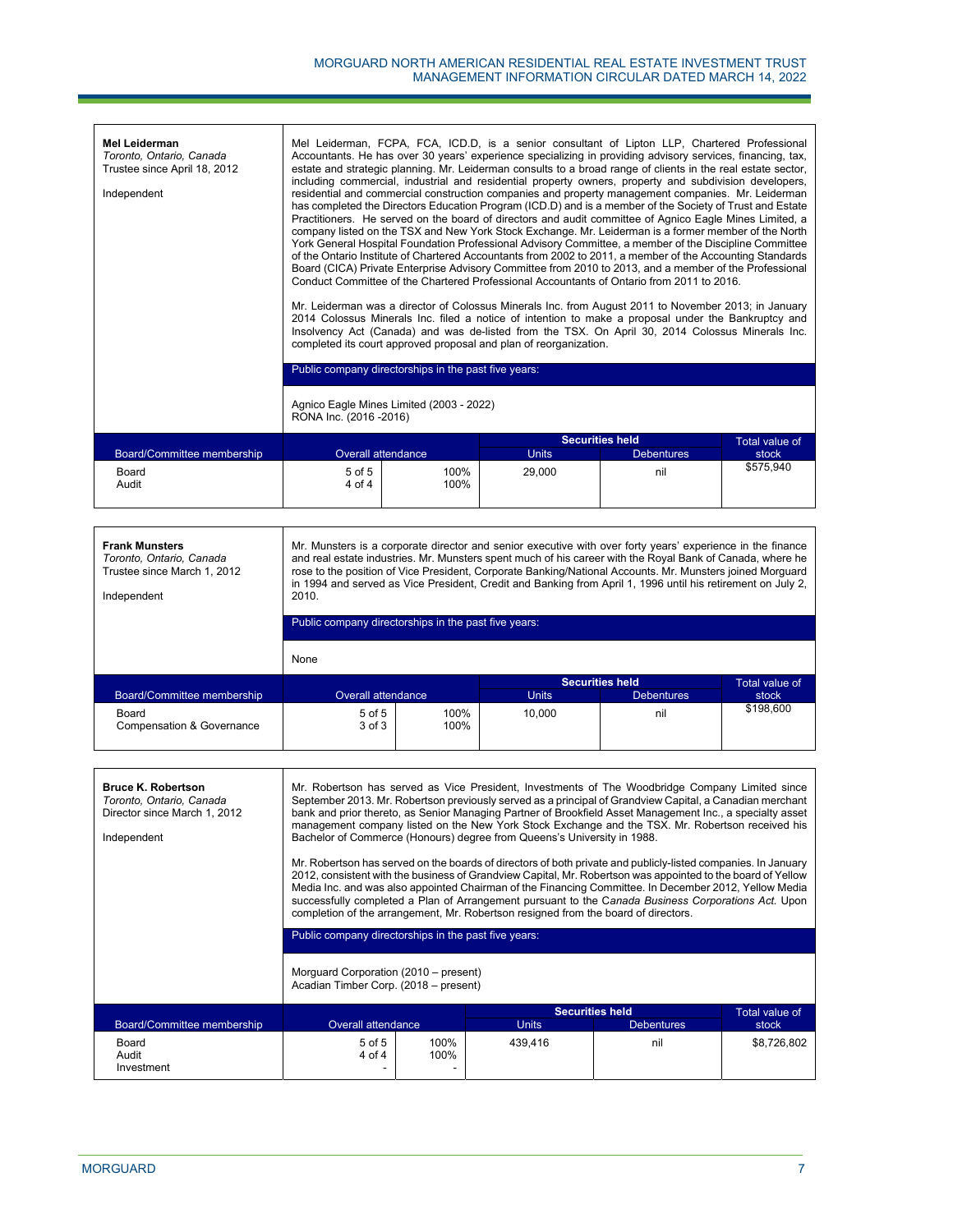| <b>Mel Leiderman</b><br>Toronto, Ontario, Canada<br>Trustee since April 18, 2012<br>Independent | Mel Leiderman, FCPA, FCA, ICD.D, is a senior consultant of Lipton LLP, Chartered Professional<br>Accountants. He has over 30 years' experience specializing in providing advisory services, financing, tax,<br>estate and strategic planning. Mr. Leiderman consults to a broad range of clients in the real estate sector,<br>including commercial, industrial and residential property owners, property and subdivision developers,<br>residential and commercial construction companies and property management companies. Mr. Leiderman<br>has completed the Directors Education Program (ICD.D) and is a member of the Society of Trust and Estate<br>Practitioners. He served on the board of directors and audit committee of Agnico Eagle Mines Limited, a<br>company listed on the TSX and New York Stock Exchange. Mr. Leiderman is a former member of the North<br>York General Hospital Foundation Professional Advisory Committee, a member of the Discipline Committee<br>of the Ontario Institute of Chartered Accountants from 2002 to 2011, a member of the Accounting Standards<br>Board (CICA) Private Enterprise Advisory Committee from 2010 to 2013, and a member of the Professional<br>Conduct Committee of the Chartered Professional Accountants of Ontario from 2011 to 2016.<br>Mr. Leiderman was a director of Colossus Minerals Inc. from August 2011 to November 2013; in January<br>2014 Colossus Minerals Inc. filed a notice of intention to make a proposal under the Bankruptcy and<br>Insolvency Act (Canada) and was de-listed from the TSX. On April 30, 2014 Colossus Minerals Inc.<br>completed its court approved proposal and plan of reorganization. |                                                      |              |                        |                |  |
|-------------------------------------------------------------------------------------------------|--------------------------------------------------------------------------------------------------------------------------------------------------------------------------------------------------------------------------------------------------------------------------------------------------------------------------------------------------------------------------------------------------------------------------------------------------------------------------------------------------------------------------------------------------------------------------------------------------------------------------------------------------------------------------------------------------------------------------------------------------------------------------------------------------------------------------------------------------------------------------------------------------------------------------------------------------------------------------------------------------------------------------------------------------------------------------------------------------------------------------------------------------------------------------------------------------------------------------------------------------------------------------------------------------------------------------------------------------------------------------------------------------------------------------------------------------------------------------------------------------------------------------------------------------------------------------------------------------------------------------------------------------------------------------------------------------|------------------------------------------------------|--------------|------------------------|----------------|--|
|                                                                                                 |                                                                                                                                                                                                                                                                                                                                                                                                                                                                                                                                                                                                                                                                                                                                                                                                                                                                                                                                                                                                                                                                                                                                                                                                                                                                                                                                                                                                                                                                                                                                                                                                                                                                                                  | Public company directorships in the past five years: |              |                        |                |  |
|                                                                                                 | Agnico Eagle Mines Limited (2003 - 2022)<br>RONA Inc. (2016 - 2016)                                                                                                                                                                                                                                                                                                                                                                                                                                                                                                                                                                                                                                                                                                                                                                                                                                                                                                                                                                                                                                                                                                                                                                                                                                                                                                                                                                                                                                                                                                                                                                                                                              |                                                      |              |                        |                |  |
|                                                                                                 |                                                                                                                                                                                                                                                                                                                                                                                                                                                                                                                                                                                                                                                                                                                                                                                                                                                                                                                                                                                                                                                                                                                                                                                                                                                                                                                                                                                                                                                                                                                                                                                                                                                                                                  |                                                      |              | <b>Securities held</b> | Total value of |  |
| Board/Committee membership                                                                      |                                                                                                                                                                                                                                                                                                                                                                                                                                                                                                                                                                                                                                                                                                                                                                                                                                                                                                                                                                                                                                                                                                                                                                                                                                                                                                                                                                                                                                                                                                                                                                                                                                                                                                  | <b>Overall attendance</b>                            | <b>Units</b> | <b>Debentures</b>      | stock          |  |
| Board<br>Audit                                                                                  | $5$ of $5$<br>4 of 4                                                                                                                                                                                                                                                                                                                                                                                                                                                                                                                                                                                                                                                                                                                                                                                                                                                                                                                                                                                                                                                                                                                                                                                                                                                                                                                                                                                                                                                                                                                                                                                                                                                                             | 100%<br>100%                                         | 29,000       | nil                    | \$575,940      |  |

| <b>Frank Munsters</b><br>Toronto, Ontario, Canada<br>Trustee since March 1, 2012<br>Independent | Mr. Munsters is a corporate director and senior executive with over forty years' experience in the finance<br>and real estate industries. Mr. Munsters spent much of his career with the Royal Bank of Canada, where he<br>rose to the position of Vice President, Corporate Banking/National Accounts. Mr. Munsters joined Morguard<br>in 1994 and served as Vice President, Credit and Banking from April 1, 1996 until his retirement on July 2,<br>2010. |              |              |                        |                |  |
|-------------------------------------------------------------------------------------------------|--------------------------------------------------------------------------------------------------------------------------------------------------------------------------------------------------------------------------------------------------------------------------------------------------------------------------------------------------------------------------------------------------------------------------------------------------------------|--------------|--------------|------------------------|----------------|--|
|                                                                                                 | Public company directorships in the past five years:                                                                                                                                                                                                                                                                                                                                                                                                         |              |              |                        |                |  |
|                                                                                                 | None                                                                                                                                                                                                                                                                                                                                                                                                                                                         |              |              |                        |                |  |
|                                                                                                 |                                                                                                                                                                                                                                                                                                                                                                                                                                                              |              |              | <b>Securities held</b> | Total value of |  |
| Board/Committee membership                                                                      | Overall attendance                                                                                                                                                                                                                                                                                                                                                                                                                                           |              | <b>Units</b> | <b>Debentures</b>      | stock          |  |
| Board<br><b>Compensation &amp; Governance</b>                                                   | 5 of 5<br>$3$ of $3$                                                                                                                                                                                                                                                                                                                                                                                                                                         | 100%<br>100% | 10.000       | nil                    | \$198,600      |  |

| <b>Bruce K. Robertson</b><br>Toronto, Ontario, Canada<br>Director since March 1, 2012<br>Independent | Mr. Robertson has served as Vice President, Investments of The Woodbridge Company Limited since<br>September 2013. Mr. Robertson previously served as a principal of Grandview Capital, a Canadian merchant<br>bank and prior thereto, as Senior Managing Partner of Brookfield Asset Management Inc., a specialty asset<br>management company listed on the New York Stock Exchange and the TSX. Mr. Robertson received his<br>Bachelor of Commerce (Honours) degree from Queens's University in 1988.<br>Mr. Robertson has served on the boards of directors of both private and publicly-listed companies. In January<br>2012, consistent with the business of Grandview Capital, Mr. Robertson was appointed to the board of Yellow<br>Media Inc. and was also appointed Chairman of the Financing Committee. In December 2012, Yellow Media<br>successfully completed a Plan of Arrangement pursuant to the Canada Business Corporations Act. Upon<br>completion of the arrangement, Mr. Robertson resigned from the board of directors. |              |              |                        |                       |
|------------------------------------------------------------------------------------------------------|-----------------------------------------------------------------------------------------------------------------------------------------------------------------------------------------------------------------------------------------------------------------------------------------------------------------------------------------------------------------------------------------------------------------------------------------------------------------------------------------------------------------------------------------------------------------------------------------------------------------------------------------------------------------------------------------------------------------------------------------------------------------------------------------------------------------------------------------------------------------------------------------------------------------------------------------------------------------------------------------------------------------------------------------------|--------------|--------------|------------------------|-----------------------|
|                                                                                                      | Public company directorships in the past five years:                                                                                                                                                                                                                                                                                                                                                                                                                                                                                                                                                                                                                                                                                                                                                                                                                                                                                                                                                                                          |              |              |                        |                       |
|                                                                                                      | Morguard Corporation (2010 – present)<br>Acadian Timber Corp. (2018 – present)                                                                                                                                                                                                                                                                                                                                                                                                                                                                                                                                                                                                                                                                                                                                                                                                                                                                                                                                                                |              |              |                        |                       |
|                                                                                                      |                                                                                                                                                                                                                                                                                                                                                                                                                                                                                                                                                                                                                                                                                                                                                                                                                                                                                                                                                                                                                                               |              |              | <b>Securities held</b> | <b>Total value of</b> |
| Board/Committee membership                                                                           | <b>Overall attendance</b>                                                                                                                                                                                                                                                                                                                                                                                                                                                                                                                                                                                                                                                                                                                                                                                                                                                                                                                                                                                                                     |              | <b>Units</b> | <b>Debentures</b>      | stock                 |
| Board<br>Audit<br>Investment                                                                         | $5$ of $5$<br>4 of 4                                                                                                                                                                                                                                                                                                                                                                                                                                                                                                                                                                                                                                                                                                                                                                                                                                                                                                                                                                                                                          | 100%<br>100% | 439.416      | nil                    | \$8,726,802           |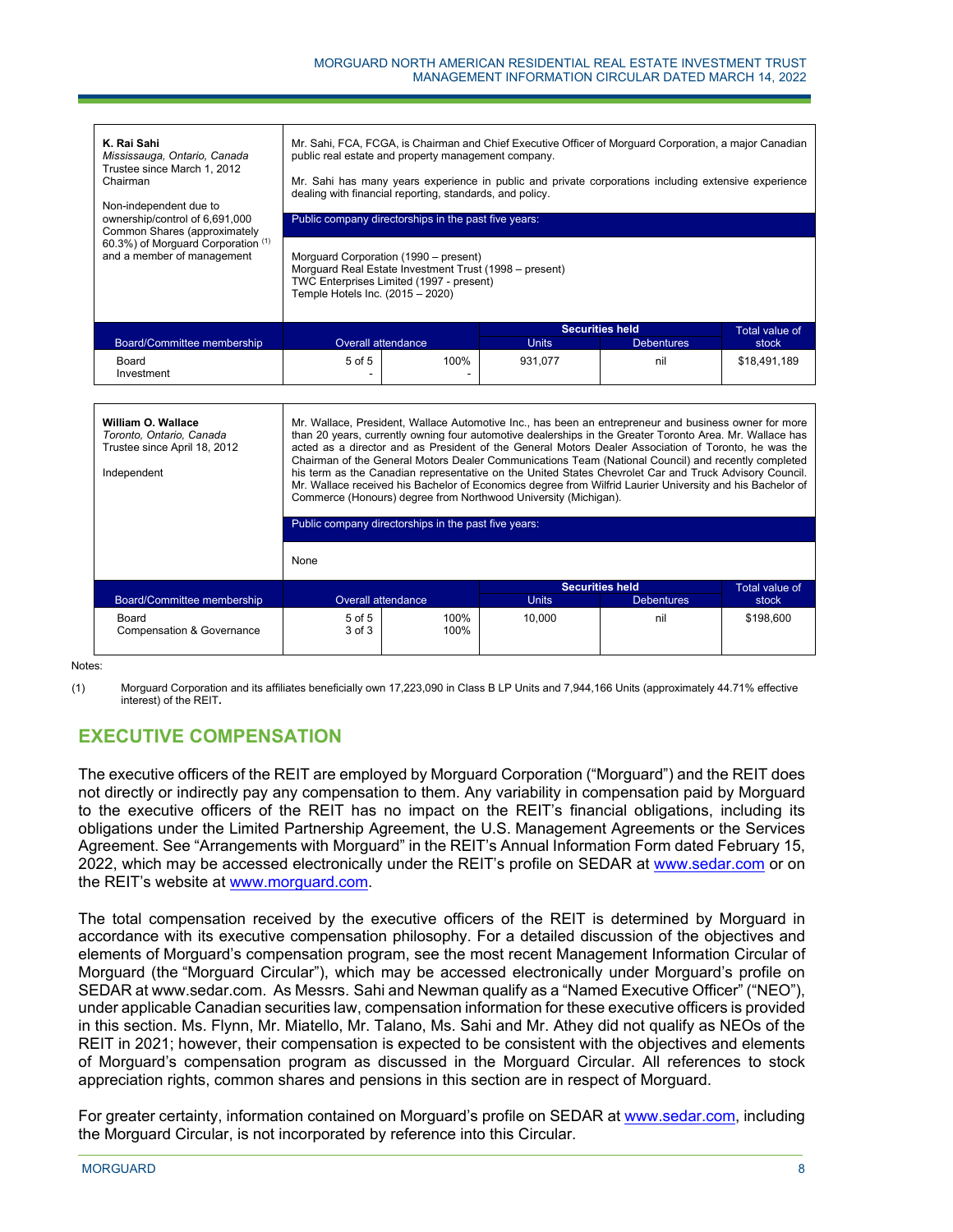| K. Rai Sahi<br>Mississauga, Ontario, Canada<br>Trustee since March 1, 2012<br>Chairman<br>Non-independent due to<br>ownership/control of 6,691,000<br>Common Shares (approximately<br>60.3%) of Morguard Corporation (1)<br>and a member of management | Mr. Sahi, FCA, FCGA, is Chairman and Chief Executive Officer of Morquard Corporation, a major Canadian<br>public real estate and property management company.<br>Mr. Sahi has many years experience in public and private corporations including extensive experience<br>dealing with financial reporting, standards, and policy.<br>Public company directorships in the past five years:<br>Morguard Corporation (1990 – present)<br>Morguard Real Estate Investment Trust (1998 – present)<br>TWC Enterprises Limited (1997 - present)<br>Temple Hotels Inc. (2015 - 2020)                                                                                                                                               |                                                      |                        |                   |                       |
|--------------------------------------------------------------------------------------------------------------------------------------------------------------------------------------------------------------------------------------------------------|----------------------------------------------------------------------------------------------------------------------------------------------------------------------------------------------------------------------------------------------------------------------------------------------------------------------------------------------------------------------------------------------------------------------------------------------------------------------------------------------------------------------------------------------------------------------------------------------------------------------------------------------------------------------------------------------------------------------------|------------------------------------------------------|------------------------|-------------------|-----------------------|
|                                                                                                                                                                                                                                                        |                                                                                                                                                                                                                                                                                                                                                                                                                                                                                                                                                                                                                                                                                                                            |                                                      | <b>Securities held</b> |                   | <b>Total value of</b> |
| Board/Committee membership                                                                                                                                                                                                                             | <b>Overall attendance</b>                                                                                                                                                                                                                                                                                                                                                                                                                                                                                                                                                                                                                                                                                                  |                                                      | <b>Units</b>           | <b>Debentures</b> | stock                 |
| Board<br>Investment                                                                                                                                                                                                                                    | 5 of 5                                                                                                                                                                                                                                                                                                                                                                                                                                                                                                                                                                                                                                                                                                                     | 100%                                                 | 931,077                | nil               | \$18,491,189          |
|                                                                                                                                                                                                                                                        |                                                                                                                                                                                                                                                                                                                                                                                                                                                                                                                                                                                                                                                                                                                            |                                                      |                        |                   |                       |
| William O. Wallace<br>Toronto, Ontario, Canada<br>Trustee since April 18, 2012<br>Independent                                                                                                                                                          | Mr. Wallace, President, Wallace Automotive Inc., has been an entrepreneur and business owner for more<br>than 20 years, currently owning four automotive dealerships in the Greater Toronto Area. Mr. Wallace has<br>acted as a director and as President of the General Motors Dealer Association of Toronto, he was the<br>Chairman of the General Motors Dealer Communications Team (National Council) and recently completed<br>his term as the Canadian representative on the United States Chevrolet Car and Truck Advisory Council.<br>Mr. Wallace received his Bachelor of Economics degree from Wilfrid Laurier University and his Bachelor of<br>Commerce (Honours) degree from Northwood University (Michigan). |                                                      |                        |                   |                       |
|                                                                                                                                                                                                                                                        |                                                                                                                                                                                                                                                                                                                                                                                                                                                                                                                                                                                                                                                                                                                            | Public company directorships in the past five years: |                        |                   |                       |

|                                    | None                     |              |              |                        |                |
|------------------------------------|--------------------------|--------------|--------------|------------------------|----------------|
|                                    |                          |              |              | <b>Securities held</b> | Total value of |
| Board/Committee membership         | Overall attendance       |              | <b>Units</b> | <b>Debentures</b>      | stock          |
| Board<br>Compensation & Governance | $5$ of $5$<br>$3$ of $3$ | 100%<br>100% | 10.000       | nil                    | \$198,600      |

Notes:

(1) Morguard Corporation and its affiliates beneficially own 17,223,090 in Class B LP Units and 7,944,166 Units (approximately 44.71% effective interest) of the REIT**.**

# **EXECUTIVE COMPENSATION**

The executive officers of the REIT are employed by Morguard Corporation ("Morguard") and the REIT does not directly or indirectly pay any compensation to them. Any variability in compensation paid by Morguard to the executive officers of the REIT has no impact on the REIT's financial obligations, including its obligations under the Limited Partnership Agreement, the U.S. Management Agreements or the Services Agreement. See "Arrangements with Morguard" in the REIT's Annual Information Form dated February 15, 2022, which may be accessed electronically under the REIT's profile on SEDAR at www.sedar.com or on the REIT's website at www.morguard.com.

The total compensation received by the executive officers of the REIT is determined by Morguard in accordance with its executive compensation philosophy. For a detailed discussion of the objectives and elements of Morguard's compensation program, see the most recent Management Information Circular of Morguard (the "Morguard Circular"), which may be accessed electronically under Morguard's profile on SEDAR at www.sedar.com. As Messrs. Sahi and Newman qualify as a "Named Executive Officer" ("NEO"), under applicable Canadian securities law, compensation information for these executive officers is provided in this section. Ms. Flynn, Mr. Miatello, Mr. Talano, Ms. Sahi and Mr. Athey did not qualify as NEOs of the REIT in 2021; however, their compensation is expected to be consistent with the objectives and elements of Morguard's compensation program as discussed in the Morguard Circular. All references to stock appreciation rights, common shares and pensions in this section are in respect of Morguard.

For greater certainty, information contained on Morguard's profile on SEDAR at www.sedar.com, including the Morguard Circular, is not incorporated by reference into this Circular.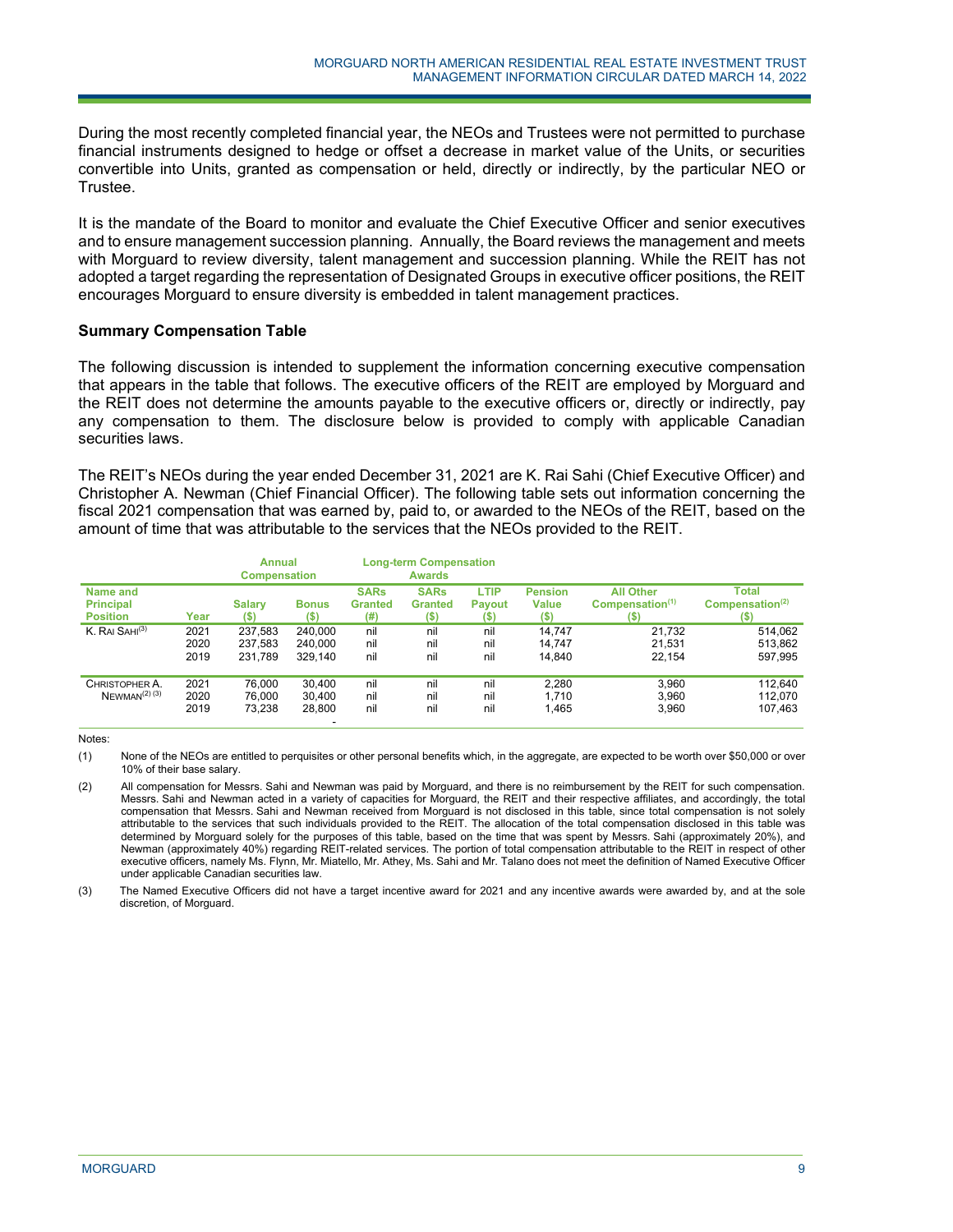During the most recently completed financial year, the NEOs and Trustees were not permitted to purchase financial instruments designed to hedge or offset a decrease in market value of the Units, or securities convertible into Units, granted as compensation or held, directly or indirectly, by the particular NEO or Trustee.

It is the mandate of the Board to monitor and evaluate the Chief Executive Officer and senior executives and to ensure management succession planning. Annually, the Board reviews the management and meets with Morguard to review diversity, talent management and succession planning. While the REIT has not adopted a target regarding the representation of Designated Groups in executive officer positions, the REIT encourages Morguard to ensure diversity is embedded in talent management practices.

#### **Summary Compensation Table**

The following discussion is intended to supplement the information concerning executive compensation that appears in the table that follows. The executive officers of the REIT are employed by Morguard and the REIT does not determine the amounts payable to the executive officers or, directly or indirectly, pay any compensation to them. The disclosure below is provided to comply with applicable Canadian securities laws.

The REIT's NEOs during the year ended December 31, 2021 are K. Rai Sahi (Chief Executive Officer) and Christopher A. Newman (Chief Financial Officer). The following table sets out information concerning the fiscal 2021 compensation that was earned by, paid to, or awarded to the NEOs of the REIT, based on the amount of time that was attributable to the services that the NEOs provided to the REIT.

|                              |      | Annual              |              | <b>Long-term Compensation</b> |                |               |                |                            |                             |
|------------------------------|------|---------------------|--------------|-------------------------------|----------------|---------------|----------------|----------------------------|-----------------------------|
|                              |      | <b>Compensation</b> |              |                               | <b>Awards</b>  |               |                |                            |                             |
| Name and                     |      |                     |              | <b>SARs</b>                   | <b>SARs</b>    | <b>LTIP</b>   | <b>Pension</b> | <b>All Other</b>           | <b>Total</b>                |
| <b>Principal</b>             |      | <b>Salary</b>       | <b>Bonus</b> | <b>Granted</b>                | <b>Granted</b> | <b>Payout</b> | <b>Value</b>   | Commonation <sup>(1)</sup> | Compensation <sup>(2)</sup> |
| <b>Position</b>              | Year | (S)                 | (\$)         | (#)                           | $($)$          | $($ \$        | $($ \$         | (S)                        | (S)                         |
| K. RAI SAHI <sup>(3)</sup>   | 2021 | 237.583             | 240.000      | nil                           | nil            | nil           | 14.747         | 21.732                     | 514.062                     |
|                              | 2020 | 237.583             | 240.000      | nil                           | nil            | nil           | 14.747         | 21.531                     | 513.862                     |
|                              | 2019 | 231,789             | 329.140      | nil                           | nil            | nil           | 14.840         | 22.154                     | 597,995                     |
|                              |      |                     |              |                               |                |               |                |                            |                             |
| CHRISTOPHER A.               | 2021 | 76.000              | 30.400       | nil                           | nil            | nil           | 2.280          | 3.960                      | 112.640                     |
| $N$ EWMAN <sup>(2)</sup> (3) | 2020 | 76,000              | 30.400       | nil                           | nil            | nil           | 1.710          | 3,960                      | 112.070                     |
|                              | 2019 | 73.238              | 28,800       | nil                           | nil            | nil           | 1,465          | 3,960                      | 107,463                     |
|                              |      |                     |              |                               |                |               |                |                            |                             |

Notes:

(1) None of the NEOs are entitled to perquisites or other personal benefits which, in the aggregate, are expected to be worth over \$50,000 or over 10% of their base salary.

(3) The Named Executive Officers did not have a target incentive award for 2021 and any incentive awards were awarded by, and at the sole discretion, of Morguard.

<sup>(2)</sup> All compensation for Messrs. Sahi and Newman was paid by Morguard, and there is no reimbursement by the REIT for such compensation. Messrs. Sahi and Newman acted in a variety of capacities for Morguard, the REIT and their respective affiliates, and accordingly, the total compensation that Messrs. Sahi and Newman received from Morguard is not disclosed in this table, since total compensation is not solely attributable to the services that such individuals provided to the REIT. The allocation of the total compensation disclosed in this table was determined by Morguard solely for the purposes of this table, based on the time that was spent by Messrs. Sahi (approximately 20%), and Newman (approximately 40%) regarding REIT-related services. The portion of total compensation attributable to the REIT in respect of other executive officers, namely Ms. Flynn, Mr. Miatello, Mr. Athey, Ms. Sahi and Mr. Talano does not meet the definition of Named Executive Officer under applicable Canadian securities law.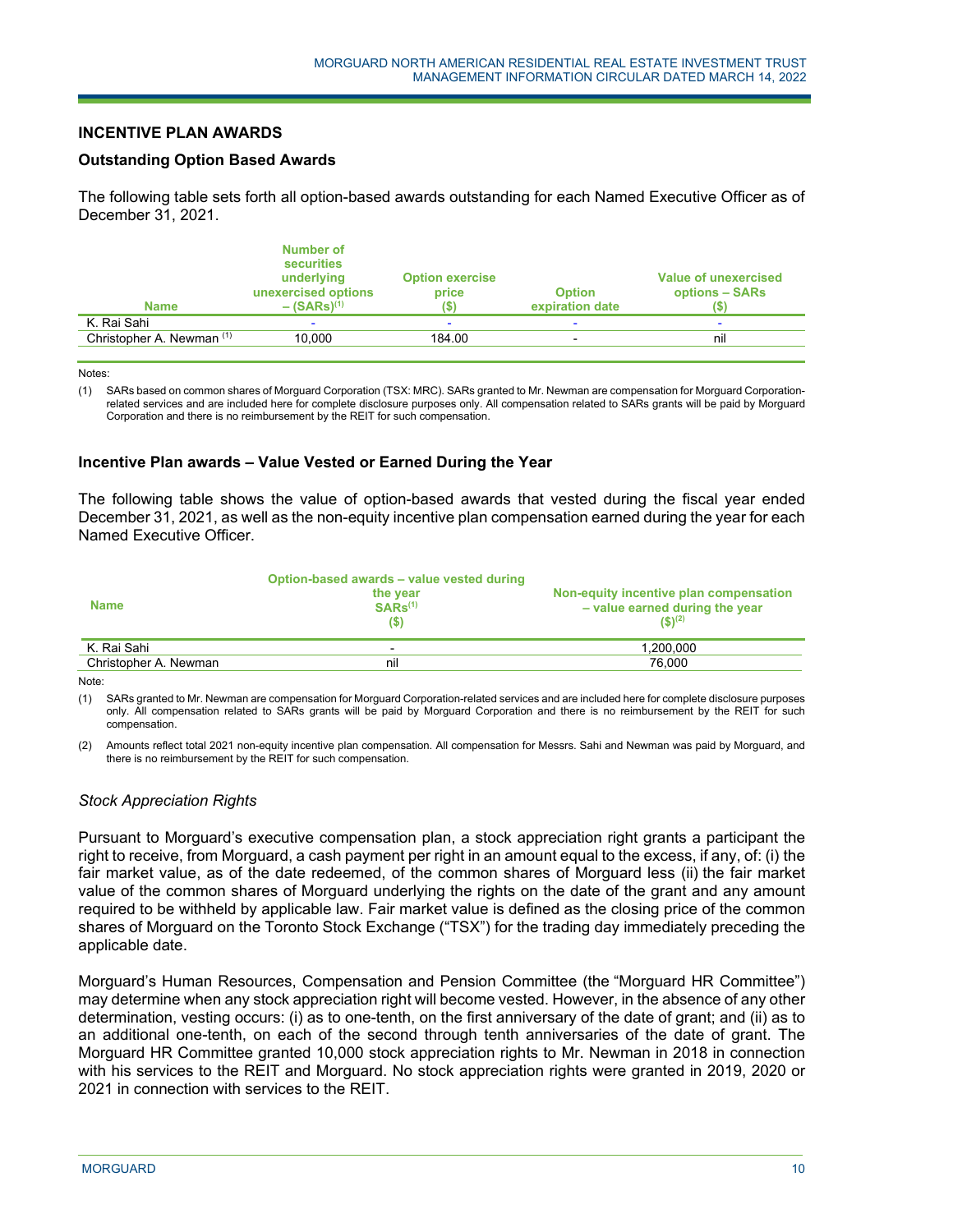#### **INCENTIVE PLAN AWARDS**

#### **Outstanding Option Based Awards**

The following table sets forth all option-based awards outstanding for each Named Executive Officer as of December 31, 2021.

| <b>Name</b>               | Number of<br>securities<br>underlying<br>unexercised options<br>$-$ (SARs) <sup>(1)</sup> | <b>Option exercise</b><br>price | <b>Option</b><br>expiration date | Value of unexercised<br>options - SARs |
|---------------------------|-------------------------------------------------------------------------------------------|---------------------------------|----------------------------------|----------------------------------------|
| K. Rai Sahi               |                                                                                           |                                 |                                  |                                        |
| Christopher A. Newman (1) | 10.000                                                                                    | 184.00                          |                                  | nil                                    |
|                           |                                                                                           |                                 |                                  |                                        |

Notes:

(1) SARs based on common shares of Morguard Corporation (TSX: MRC). SARs granted to Mr. Newman are compensation for Morguard Corporationrelated services and are included here for complete disclosure purposes only. All compensation related to SARs grants will be paid by Morguard Corporation and there is no reimbursement by the REIT for such compensation.

#### **Incentive Plan awards – Value Vested or Earned During the Year**

j

The following table shows the value of option-based awards that vested during the fiscal year ended December 31, 2021, as well as the non-equity incentive plan compensation earned during the year for each Named Executive Officer.

|                       | Option-based awards – value vested during |                                                                                         |
|-----------------------|-------------------------------------------|-----------------------------------------------------------------------------------------|
| <b>Name</b>           | the year<br>$SARS^{(1)}$<br>(S)           | Non-equity incentive plan compensation<br>- value earned during the year<br>$(5)^{(2)}$ |
| K. Rai Sahi           | $\overline{\phantom{0}}$                  | 1,200,000                                                                               |
| Christopher A. Newman | nil                                       | 76.000                                                                                  |

Note:

(1) SARs granted to Mr. Newman are compensation for Morguard Corporation-related services and are included here for complete disclosure purposes only. All compensation related to SARs grants will be paid by Morguard Corporation and there is no reimbursement by the REIT for such compensation.

(2) Amounts reflect total 2021 non-equity incentive plan compensation. All compensation for Messrs. Sahi and Newman was paid by Morguard, and there is no reimbursement by the REIT for such compensation.

# *Stock Appreciation Rights*

Pursuant to Morguard's executive compensation plan, a stock appreciation right grants a participant the right to receive, from Morguard, a cash payment per right in an amount equal to the excess, if any, of: (i) the fair market value, as of the date redeemed, of the common shares of Morguard less (ii) the fair market value of the common shares of Morguard underlying the rights on the date of the grant and any amount required to be withheld by applicable law. Fair market value is defined as the closing price of the common shares of Morguard on the Toronto Stock Exchange ("TSX") for the trading day immediately preceding the applicable date.

Morguard's Human Resources, Compensation and Pension Committee (the "Morguard HR Committee") may determine when any stock appreciation right will become vested. However, in the absence of any other determination, vesting occurs: (i) as to one-tenth, on the first anniversary of the date of grant; and (ii) as to an additional one-tenth, on each of the second through tenth anniversaries of the date of grant. The Morguard HR Committee granted 10,000 stock appreciation rights to Mr. Newman in 2018 in connection with his services to the REIT and Morguard. No stock appreciation rights were granted in 2019, 2020 or 2021 in connection with services to the REIT.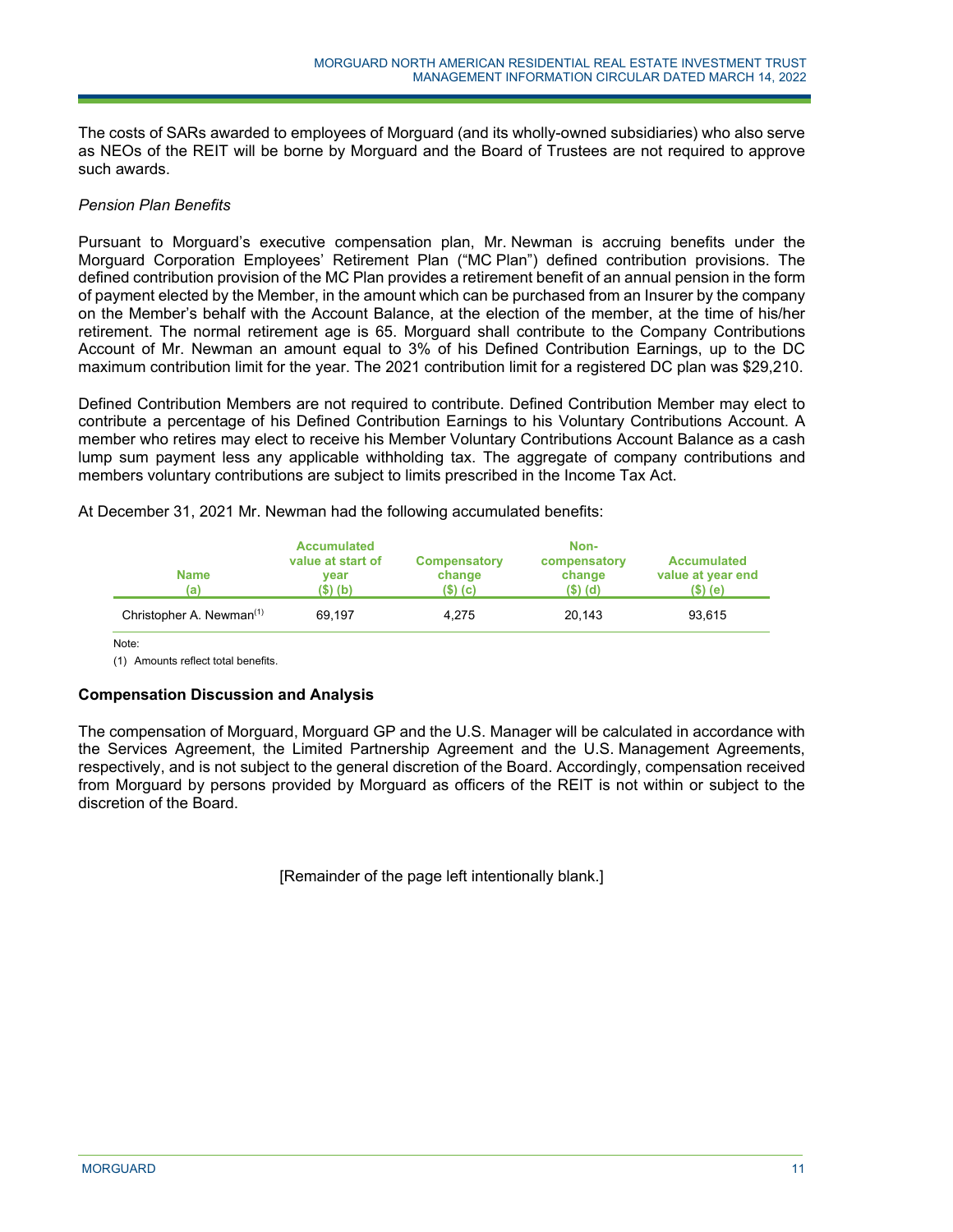The costs of SARs awarded to employees of Morguard (and its wholly-owned subsidiaries) who also serve as NEOs of the REIT will be borne by Morguard and the Board of Trustees are not required to approve such awards.

## *Pension Plan Benefits*

Pursuant to Morguard's executive compensation plan, Mr. Newman is accruing benefits under the Morguard Corporation Employees' Retirement Plan ("MC Plan") defined contribution provisions. The defined contribution provision of the MC Plan provides a retirement benefit of an annual pension in the form of payment elected by the Member, in the amount which can be purchased from an Insurer by the company on the Member's behalf with the Account Balance, at the election of the member, at the time of his/her retirement. The normal retirement age is 65. Morguard shall contribute to the Company Contributions Account of Mr. Newman an amount equal to 3% of his Defined Contribution Earnings, up to the DC maximum contribution limit for the year. The 2021 contribution limit for a registered DC plan was \$29,210.

Defined Contribution Members are not required to contribute. Defined Contribution Member may elect to contribute a percentage of his Defined Contribution Earnings to his Voluntary Contributions Account. A member who retires may elect to receive his Member Voluntary Contributions Account Balance as a cash lump sum payment less any applicable withholding tax. The aggregate of company contributions and members voluntary contributions are subject to limits prescribed in the Income Tax Act.

At December 31, 2021 Mr. Newman had the following accumulated benefits:

j

| <b>Name</b><br>(a)                   | <b>Accumulated</b><br>value at start of<br>vear<br>(\$) (b) | Compensatory<br>change<br>$(S)$ (c) | Non-<br>compensatory<br>change<br>$(S)$ (d) | <b>Accumulated</b><br>value at year end<br>(\$) (e) |
|--------------------------------------|-------------------------------------------------------------|-------------------------------------|---------------------------------------------|-----------------------------------------------------|
| Christopher A. Newman <sup>(1)</sup> | 69.197                                                      | 4.275                               | 20.143                                      | 93.615                                              |

Note:

(1) Amounts reflect total benefits.

# **Compensation Discussion and Analysis**

The compensation of Morguard, Morguard GP and the U.S. Manager will be calculated in accordance with the Services Agreement, the Limited Partnership Agreement and the U.S. Management Agreements, respectively, and is not subject to the general discretion of the Board. Accordingly, compensation received from Morguard by persons provided by Morguard as officers of the REIT is not within or subject to the discretion of the Board.

[Remainder of the page left intentionally blank.]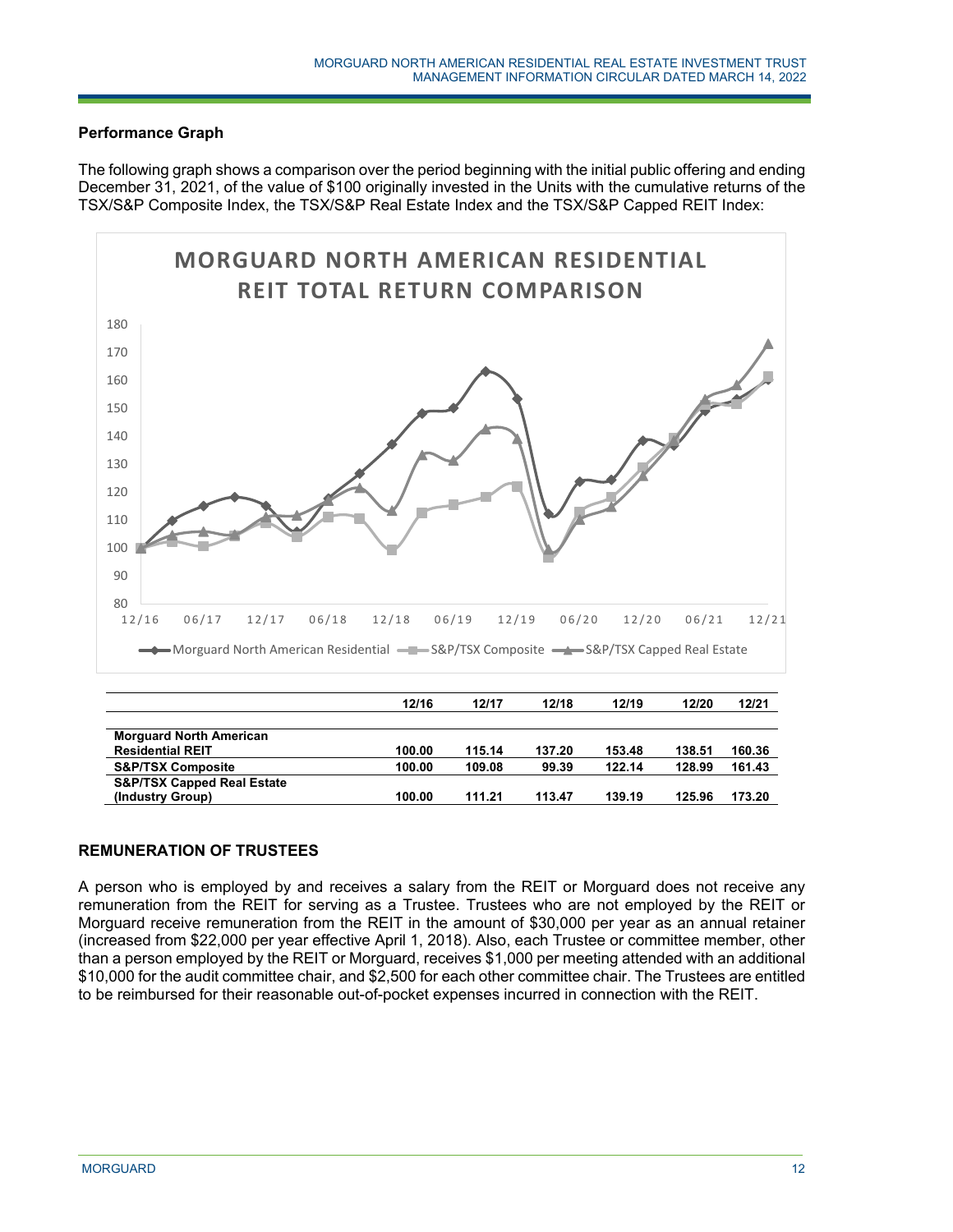# **Performance Graph**

The following graph shows a comparison over the period beginning with the initial public offering and ending December 31, 2021, of the value of \$100 originally invested in the Units with the cumulative returns of the TSX/S&P Composite Index, the TSX/S&P Real Estate Index and the TSX/S&P Capped REIT Index:



| <b>MOTSUGIU NOTUL AMOTOGII</b>        |        |        |        |        |        |        |
|---------------------------------------|--------|--------|--------|--------|--------|--------|
| <b>Residential REIT</b>               | 100.00 | 115.14 | 137.20 | 153.48 | 138.51 | 160.36 |
| <b>S&amp;P/TSX Composite</b>          | 100.00 | 109.08 | 99.39  | 122.14 | 128.99 | 161.43 |
| <b>S&amp;P/TSX Capped Real Estate</b> |        |        |        |        |        |        |
| (Industry Group)                      | 100.00 | 111.21 | 113.47 | 139.19 | 125.96 | 173.20 |
|                                       |        |        |        |        |        |        |

# **REMUNERATION OF TRUSTEES**

A person who is employed by and receives a salary from the REIT or Morguard does not receive any remuneration from the REIT for serving as a Trustee. Trustees who are not employed by the REIT or Morguard receive remuneration from the REIT in the amount of \$30,000 per year as an annual retainer (increased from \$22,000 per year effective April 1, 2018). Also, each Trustee or committee member, other than a person employed by the REIT or Morguard, receives \$1,000 per meeting attended with an additional \$10,000 for the audit committee chair, and \$2,500 for each other committee chair. The Trustees are entitled to be reimbursed for their reasonable out-of-pocket expenses incurred in connection with the REIT.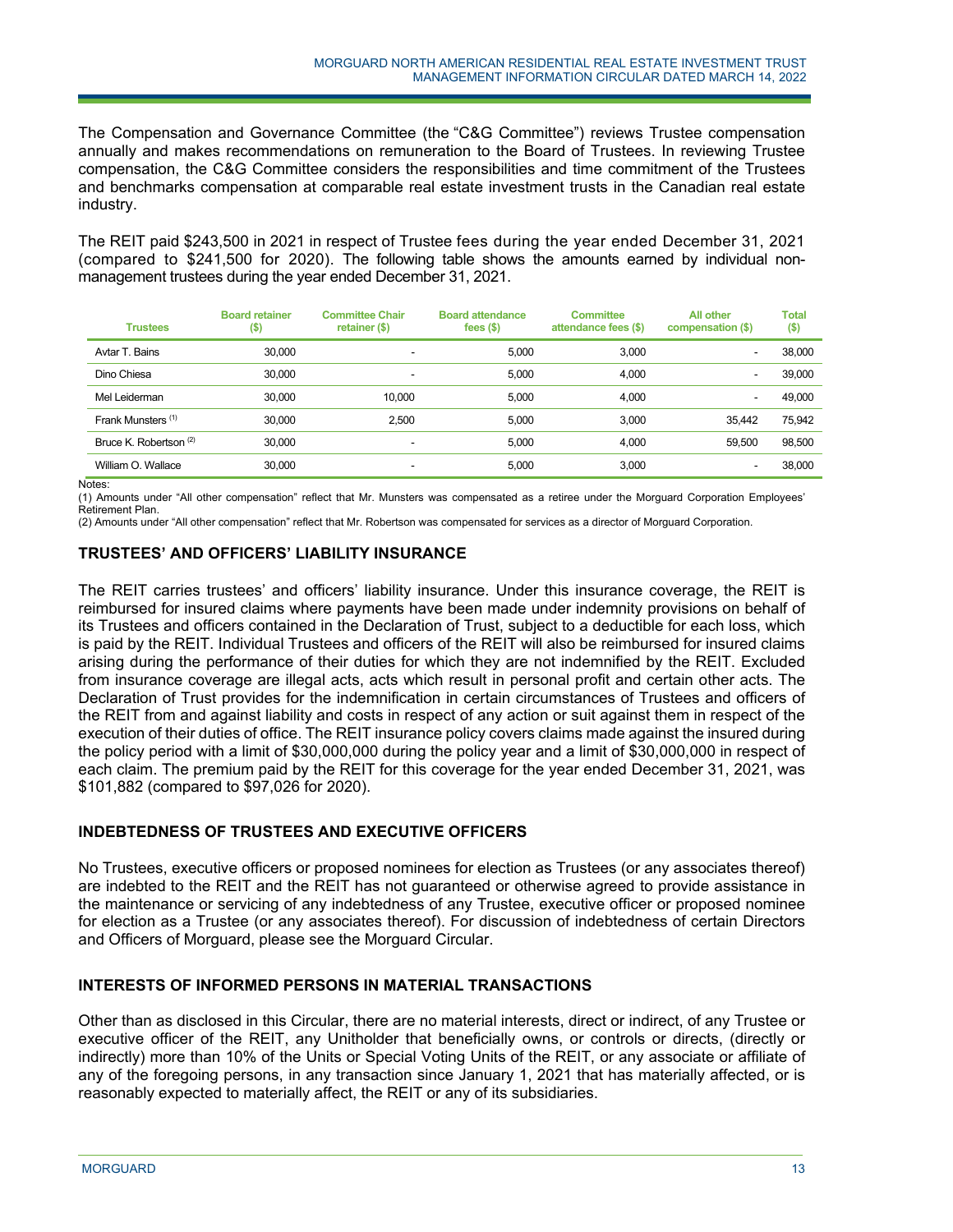The Compensation and Governance Committee (the "C&G Committee") reviews Trustee compensation annually and makes recommendations on remuneration to the Board of Trustees. In reviewing Trustee compensation, the C&G Committee considers the responsibilities and time commitment of the Trustees and benchmarks compensation at comparable real estate investment trusts in the Canadian real estate industry.

The REIT paid \$243,500 in 2021 in respect of Trustee fees during the year ended December 31, 2021 (compared to \$241,500 for 2020). The following table shows the amounts earned by individual nonmanagement trustees during the year ended December 31, 2021.

| <b>Trustees</b>        | <b>Board retainer</b><br>$($ \$) | <b>Committee Chair</b><br>retainer (\$) | <b>Board attendance</b><br>fees $(5)$ | <b>Committee</b><br>attendance fees (\$) | <b>All other</b><br>compensation (\$) | <b>Total</b><br>$($ \$) |
|------------------------|----------------------------------|-----------------------------------------|---------------------------------------|------------------------------------------|---------------------------------------|-------------------------|
| Avtar T. Bains         | 30,000                           | ٠                                       | 5.000                                 | 3.000                                    | -                                     | 38,000                  |
| Dino Chiesa            | 30,000                           | ۰                                       | 5.000                                 | 4.000                                    | -                                     | 39,000                  |
| Mel Leiderman          | 30,000                           | 10.000                                  | 5.000                                 | 4.000                                    | -                                     | 49,000                  |
| Frank Munsters (1)     | 30,000                           | 2.500                                   | 5.000                                 | 3.000                                    | 35.442                                | 75,942                  |
| Bruce K. Robertson (2) | 30,000                           | $\overline{\phantom{a}}$                | 5.000                                 | 4.000                                    | 59.500                                | 98.500                  |
| William O. Wallace     | 30,000                           | $\overline{\phantom{0}}$                | 5.000                                 | 3.000                                    |                                       | 38,000                  |

Notes:

(1) Amounts under "All other compensation" reflect that Mr. Munsters was compensated as a retiree under the Morguard Corporation Employees' Retirement Plan.

(2) Amounts under "All other compensation" reflect that Mr. Robertson was compensated for services as a director of Morguard Corporation.

# **TRUSTEES' AND OFFICERS' LIABILITY INSURANCE**

The REIT carries trustees' and officers' liability insurance. Under this insurance coverage, the REIT is reimbursed for insured claims where payments have been made under indemnity provisions on behalf of its Trustees and officers contained in the Declaration of Trust, subject to a deductible for each loss, which is paid by the REIT. Individual Trustees and officers of the REIT will also be reimbursed for insured claims arising during the performance of their duties for which they are not indemnified by the REIT. Excluded from insurance coverage are illegal acts, acts which result in personal profit and certain other acts. The Declaration of Trust provides for the indemnification in certain circumstances of Trustees and officers of the REIT from and against liability and costs in respect of any action or suit against them in respect of the execution of their duties of office. The REIT insurance policy covers claims made against the insured during the policy period with a limit of \$30,000,000 during the policy year and a limit of \$30,000,000 in respect of each claim. The premium paid by the REIT for this coverage for the year ended December 31, 2021, was \$101,882 (compared to \$97,026 for 2020).

# **INDEBTEDNESS OF TRUSTEES AND EXECUTIVE OFFICERS**

No Trustees, executive officers or proposed nominees for election as Trustees (or any associates thereof) are indebted to the REIT and the REIT has not guaranteed or otherwise agreed to provide assistance in the maintenance or servicing of any indebtedness of any Trustee, executive officer or proposed nominee for election as a Trustee (or any associates thereof). For discussion of indebtedness of certain Directors and Officers of Morguard, please see the Morguard Circular.

# **INTERESTS OF INFORMED PERSONS IN MATERIAL TRANSACTIONS**

j

Other than as disclosed in this Circular, there are no material interests, direct or indirect, of any Trustee or executive officer of the REIT, any Unitholder that beneficially owns, or controls or directs, (directly or indirectly) more than 10% of the Units or Special Voting Units of the REIT, or any associate or affiliate of any of the foregoing persons, in any transaction since January 1, 2021 that has materially affected, or is reasonably expected to materially affect, the REIT or any of its subsidiaries.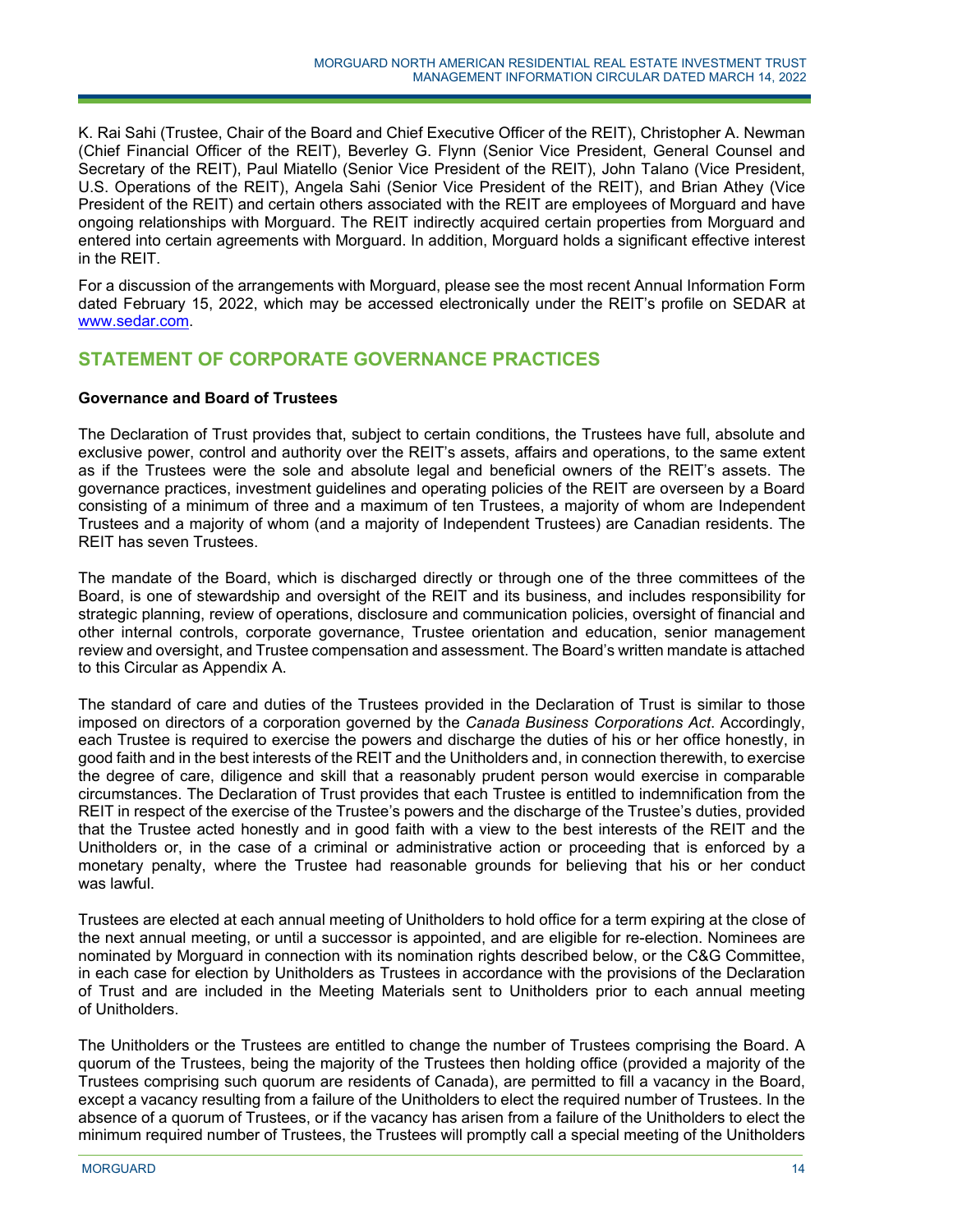K. Rai Sahi (Trustee, Chair of the Board and Chief Executive Officer of the REIT), Christopher A. Newman (Chief Financial Officer of the REIT), Beverley G. Flynn (Senior Vice President, General Counsel and Secretary of the REIT), Paul Miatello (Senior Vice President of the REIT), John Talano (Vice President, U.S. Operations of the REIT), Angela Sahi (Senior Vice President of the REIT), and Brian Athey (Vice President of the REIT) and certain others associated with the REIT are employees of Morguard and have ongoing relationships with Morguard. The REIT indirectly acquired certain properties from Morguard and entered into certain agreements with Morguard. In addition, Morguard holds a significant effective interest in the REIT.

For a discussion of the arrangements with Morguard, please see the most recent Annual Information Form dated February 15, 2022, which may be accessed electronically under the REIT's profile on SEDAR at www.sedar.com.

# **STATEMENT OF CORPORATE GOVERNANCE PRACTICES**

## **Governance and Board of Trustees**

The Declaration of Trust provides that, subject to certain conditions, the Trustees have full, absolute and exclusive power, control and authority over the REIT's assets, affairs and operations, to the same extent as if the Trustees were the sole and absolute legal and beneficial owners of the REIT's assets. The governance practices, investment guidelines and operating policies of the REIT are overseen by a Board consisting of a minimum of three and a maximum of ten Trustees, a majority of whom are Independent Trustees and a majority of whom (and a majority of Independent Trustees) are Canadian residents. The REIT has seven Trustees.

The mandate of the Board, which is discharged directly or through one of the three committees of the Board, is one of stewardship and oversight of the REIT and its business, and includes responsibility for strategic planning, review of operations, disclosure and communication policies, oversight of financial and other internal controls, corporate governance, Trustee orientation and education, senior management review and oversight, and Trustee compensation and assessment. The Board's written mandate is attached to this Circular as Appendix A.

The standard of care and duties of the Trustees provided in the Declaration of Trust is similar to those imposed on directors of a corporation governed by the *Canada Business Corporations Act*. Accordingly, each Trustee is required to exercise the powers and discharge the duties of his or her office honestly, in good faith and in the best interests of the REIT and the Unitholders and, in connection therewith, to exercise the degree of care, diligence and skill that a reasonably prudent person would exercise in comparable circumstances. The Declaration of Trust provides that each Trustee is entitled to indemnification from the REIT in respect of the exercise of the Trustee's powers and the discharge of the Trustee's duties, provided that the Trustee acted honestly and in good faith with a view to the best interests of the REIT and the Unitholders or, in the case of a criminal or administrative action or proceeding that is enforced by a monetary penalty, where the Trustee had reasonable grounds for believing that his or her conduct was lawful.

Trustees are elected at each annual meeting of Unitholders to hold office for a term expiring at the close of the next annual meeting, or until a successor is appointed, and are eligible for re-election. Nominees are nominated by Morguard in connection with its nomination rights described below, or the C&G Committee, in each case for election by Unitholders as Trustees in accordance with the provisions of the Declaration of Trust and are included in the Meeting Materials sent to Unitholders prior to each annual meeting of Unitholders.

The Unitholders or the Trustees are entitled to change the number of Trustees comprising the Board. A quorum of the Trustees, being the majority of the Trustees then holding office (provided a majority of the Trustees comprising such quorum are residents of Canada), are permitted to fill a vacancy in the Board, except a vacancy resulting from a failure of the Unitholders to elect the required number of Trustees. In the absence of a quorum of Trustees, or if the vacancy has arisen from a failure of the Unitholders to elect the minimum required number of Trustees, the Trustees will promptly call a special meeting of the Unitholders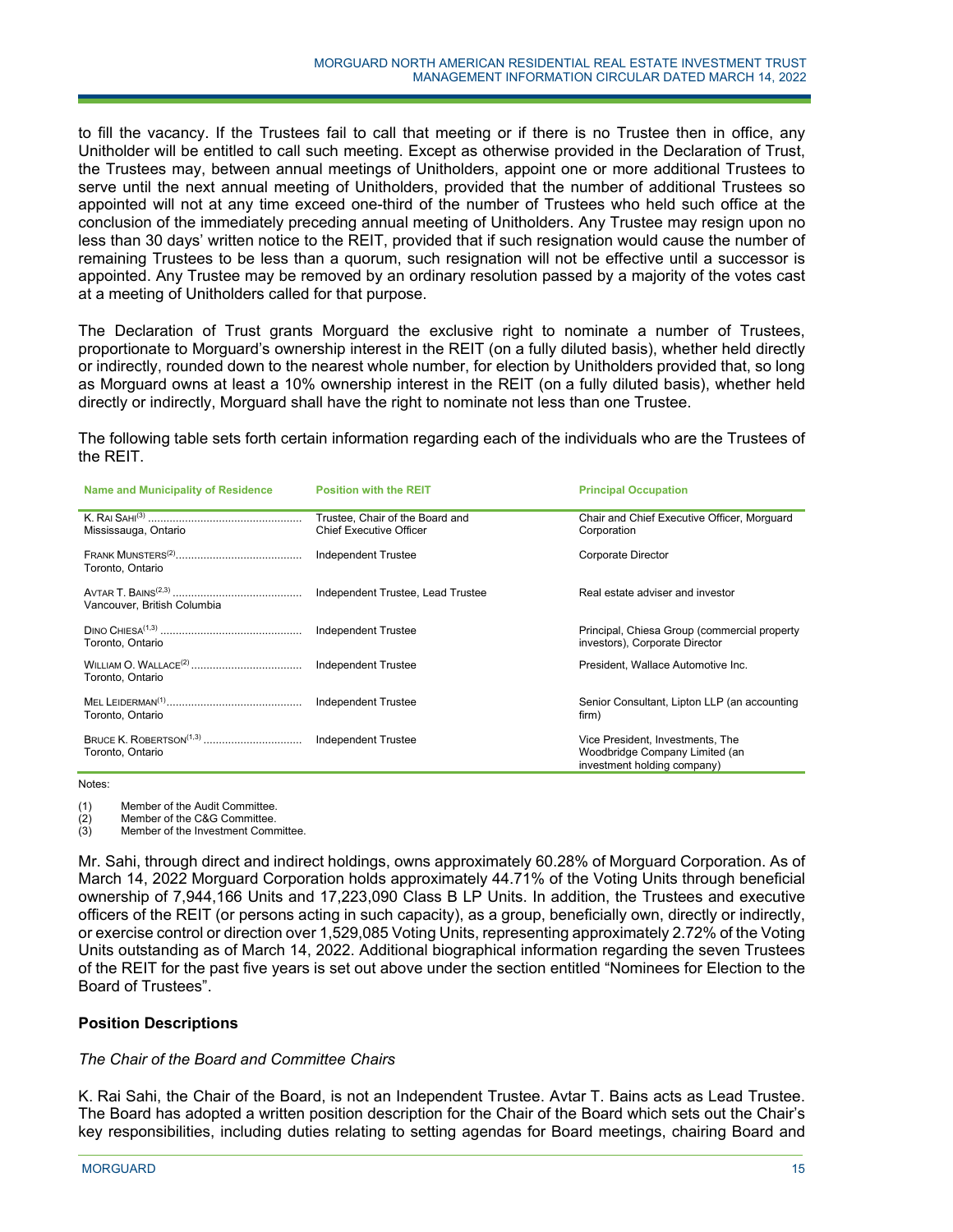to fill the vacancy. If the Trustees fail to call that meeting or if there is no Trustee then in office, any Unitholder will be entitled to call such meeting. Except as otherwise provided in the Declaration of Trust, the Trustees may, between annual meetings of Unitholders, appoint one or more additional Trustees to serve until the next annual meeting of Unitholders, provided that the number of additional Trustees so appointed will not at any time exceed one-third of the number of Trustees who held such office at the conclusion of the immediately preceding annual meeting of Unitholders. Any Trustee may resign upon no less than 30 days' written notice to the REIT, provided that if such resignation would cause the number of remaining Trustees to be less than a quorum, such resignation will not be effective until a successor is appointed. Any Trustee may be removed by an ordinary resolution passed by a majority of the votes cast at a meeting of Unitholders called for that purpose.

The Declaration of Trust grants Morguard the exclusive right to nominate a number of Trustees, proportionate to Morguard's ownership interest in the REIT (on a fully diluted basis), whether held directly or indirectly, rounded down to the nearest whole number, for election by Unitholders provided that, so long as Morguard owns at least a 10% ownership interest in the REIT (on a fully diluted basis), whether held directly or indirectly, Morguard shall have the right to nominate not less than one Trustee.

The following table sets forth certain information regarding each of the individuals who are the Trustees of the REIT.

| <b>Name and Municipality of Residence</b> | <b>Position with the REIT</b>                                     | <b>Principal Occupation</b>                                                                       |
|-------------------------------------------|-------------------------------------------------------------------|---------------------------------------------------------------------------------------------------|
| Mississauga, Ontario                      | Trustee, Chair of the Board and<br><b>Chief Executive Officer</b> | Chair and Chief Executive Officer, Morguard<br>Corporation                                        |
| Toronto, Ontario                          | <b>Independent Trustee</b>                                        | <b>Corporate Director</b>                                                                         |
| Vancouver, British Columbia               | Independent Trustee, Lead Trustee                                 | Real estate adviser and investor                                                                  |
| Toronto, Ontario                          | <b>Independent Trustee</b>                                        | Principal, Chiesa Group (commercial property<br>investors), Corporate Director                    |
| Toronto, Ontario                          | Independent Trustee                                               | President, Wallace Automotive Inc.                                                                |
| Toronto, Ontario                          | <b>Independent Trustee</b>                                        | Senior Consultant, Lipton LLP (an accounting<br>firm)                                             |
| Toronto, Ontario                          | Independent Trustee                                               | Vice President, Investments, The<br>Woodbridge Company Limited (an<br>investment holding company) |

Notes:

(1) Member of the Audit Committee.

(2) Member of the C&G Committee.

(3) Member of the Investment Committee.

Mr. Sahi, through direct and indirect holdings, owns approximately 60.28% of Morguard Corporation. As of March 14, 2022 Morguard Corporation holds approximately 44.71% of the Voting Units through beneficial ownership of 7,944,166 Units and 17,223,090 Class B LP Units. In addition, the Trustees and executive officers of the REIT (or persons acting in such capacity), as a group, beneficially own, directly or indirectly, or exercise control or direction over 1,529,085 Voting Units, representing approximately 2.72% of the Voting Units outstanding as of March 14, 2022. Additional biographical information regarding the seven Trustees of the REIT for the past five years is set out above under the section entitled "Nominees for Election to the Board of Trustees".

# **Position Descriptions**

# *The Chair of the Board and Committee Chairs*

j

K. Rai Sahi, the Chair of the Board, is not an Independent Trustee. Avtar T. Bains acts as Lead Trustee. The Board has adopted a written position description for the Chair of the Board which sets out the Chair's key responsibilities, including duties relating to setting agendas for Board meetings, chairing Board and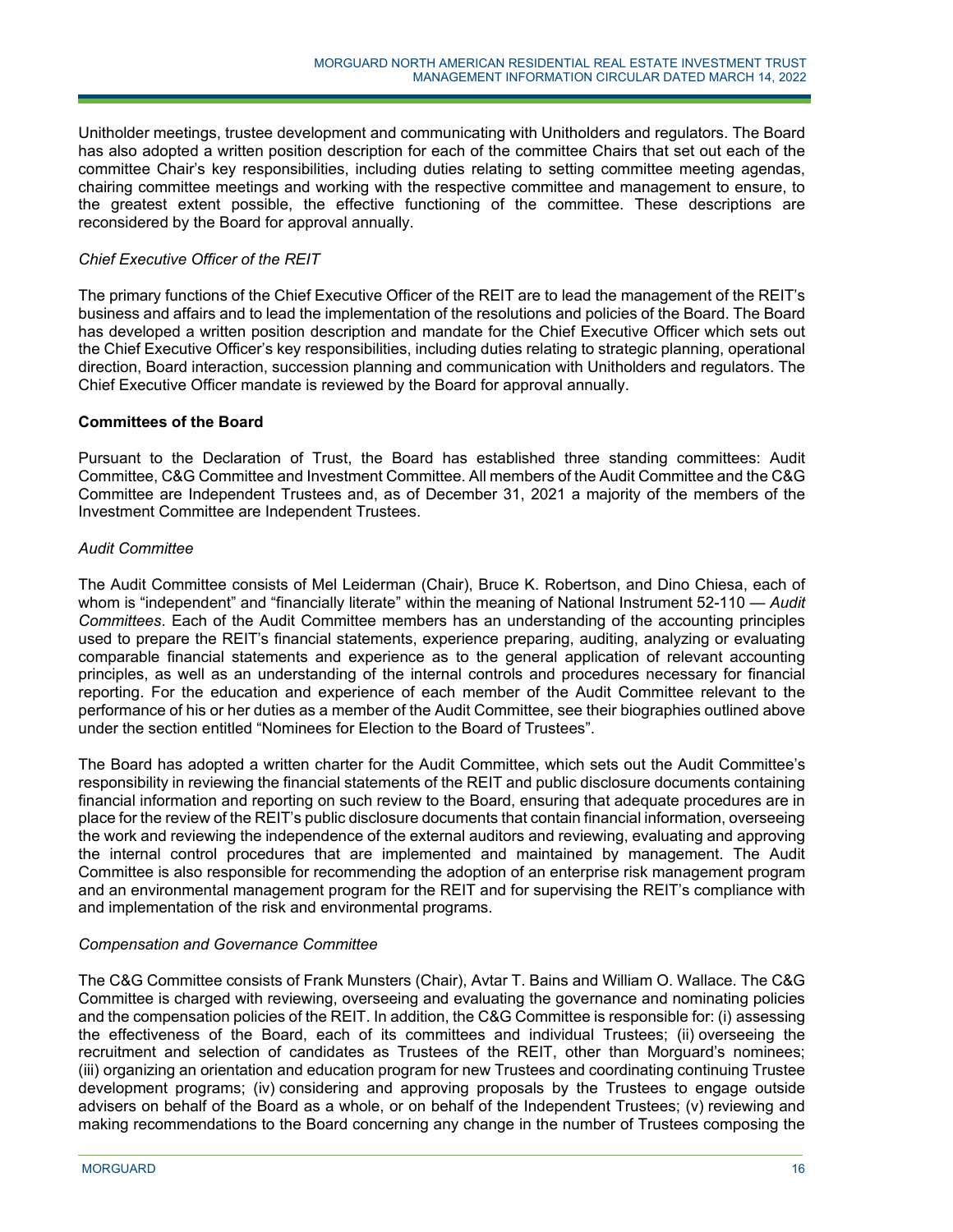Unitholder meetings, trustee development and communicating with Unitholders and regulators. The Board has also adopted a written position description for each of the committee Chairs that set out each of the committee Chair's key responsibilities, including duties relating to setting committee meeting agendas, chairing committee meetings and working with the respective committee and management to ensure, to the greatest extent possible, the effective functioning of the committee. These descriptions are reconsidered by the Board for approval annually.

## *Chief Executive Officer of the REIT*

The primary functions of the Chief Executive Officer of the REIT are to lead the management of the REIT's business and affairs and to lead the implementation of the resolutions and policies of the Board. The Board has developed a written position description and mandate for the Chief Executive Officer which sets out the Chief Executive Officer's key responsibilities, including duties relating to strategic planning, operational direction, Board interaction, succession planning and communication with Unitholders and regulators. The Chief Executive Officer mandate is reviewed by the Board for approval annually.

## **Committees of the Board**

Pursuant to the Declaration of Trust, the Board has established three standing committees: Audit Committee, C&G Committee and Investment Committee. All members of the Audit Committee and the C&G Committee are Independent Trustees and, as of December 31, 2021 a majority of the members of the Investment Committee are Independent Trustees.

# *Audit Committee*

The Audit Committee consists of Mel Leiderman (Chair), Bruce K. Robertson, and Dino Chiesa, each of whom is "independent" and "financially literate" within the meaning of National Instrument 52-110 — *Audit Committees*. Each of the Audit Committee members has an understanding of the accounting principles used to prepare the REIT's financial statements, experience preparing, auditing, analyzing or evaluating comparable financial statements and experience as to the general application of relevant accounting principles, as well as an understanding of the internal controls and procedures necessary for financial reporting. For the education and experience of each member of the Audit Committee relevant to the performance of his or her duties as a member of the Audit Committee, see their biographies outlined above under the section entitled "Nominees for Election to the Board of Trustees".

The Board has adopted a written charter for the Audit Committee, which sets out the Audit Committee's responsibility in reviewing the financial statements of the REIT and public disclosure documents containing financial information and reporting on such review to the Board, ensuring that adequate procedures are in place for the review of the REIT's public disclosure documents that contain financial information, overseeing the work and reviewing the independence of the external auditors and reviewing, evaluating and approving the internal control procedures that are implemented and maintained by management. The Audit Committee is also responsible for recommending the adoption of an enterprise risk management program and an environmental management program for the REIT and for supervising the REIT's compliance with and implementation of the risk and environmental programs.

#### *Compensation and Governance Committee*

j

The C&G Committee consists of Frank Munsters (Chair), Avtar T. Bains and William O. Wallace. The C&G Committee is charged with reviewing, overseeing and evaluating the governance and nominating policies and the compensation policies of the REIT. In addition, the C&G Committee is responsible for: (i) assessing the effectiveness of the Board, each of its committees and individual Trustees; (ii) overseeing the recruitment and selection of candidates as Trustees of the REIT, other than Morguard's nominees; (iii) organizing an orientation and education program for new Trustees and coordinating continuing Trustee development programs; (iv) considering and approving proposals by the Trustees to engage outside advisers on behalf of the Board as a whole, or on behalf of the Independent Trustees; (v) reviewing and making recommendations to the Board concerning any change in the number of Trustees composing the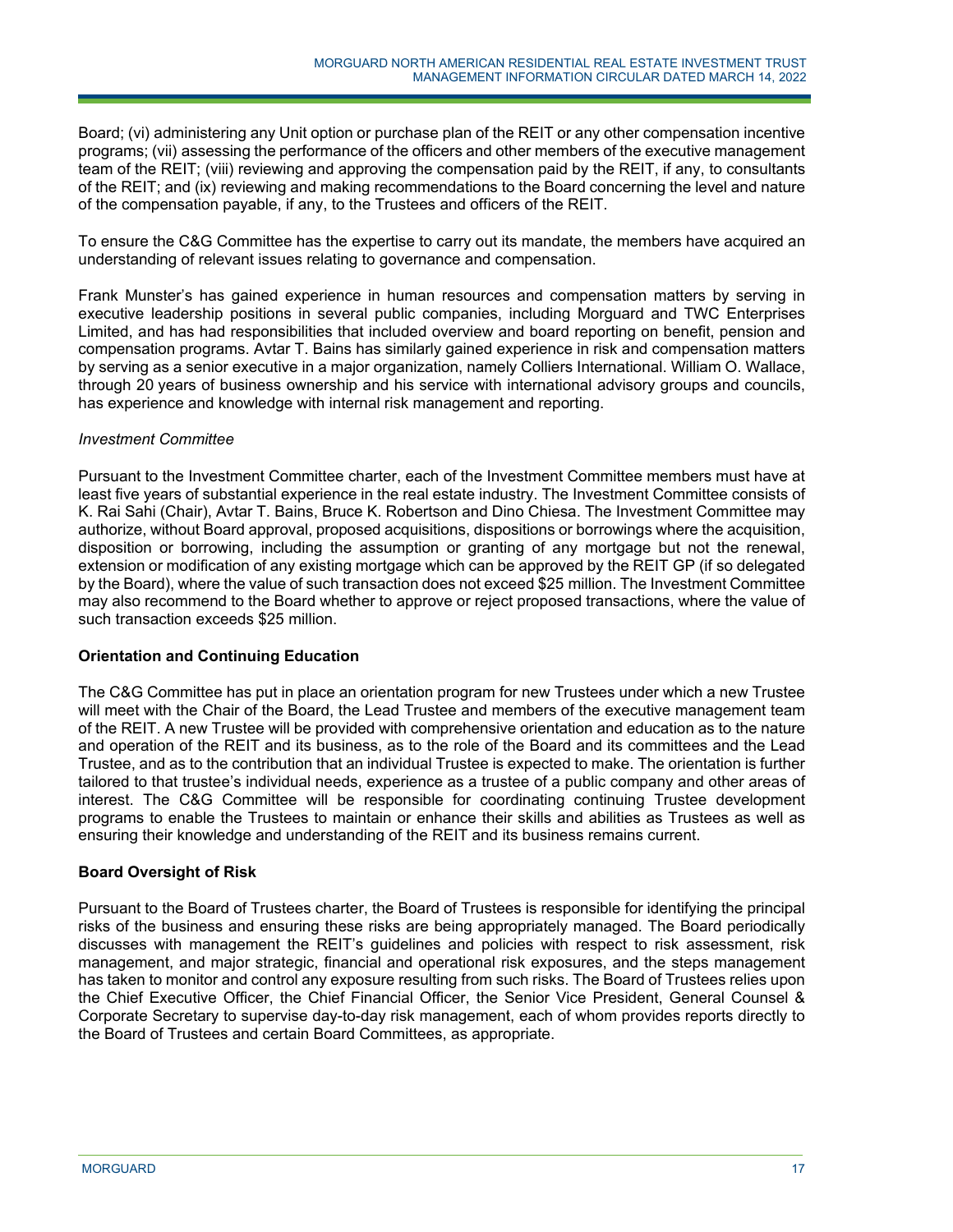Board; (vi) administering any Unit option or purchase plan of the REIT or any other compensation incentive programs; (vii) assessing the performance of the officers and other members of the executive management team of the REIT; (viii) reviewing and approving the compensation paid by the REIT, if any, to consultants of the REIT; and (ix) reviewing and making recommendations to the Board concerning the level and nature of the compensation payable, if any, to the Trustees and officers of the REIT.

To ensure the C&G Committee has the expertise to carry out its mandate, the members have acquired an understanding of relevant issues relating to governance and compensation.

Frank Munster's has gained experience in human resources and compensation matters by serving in executive leadership positions in several public companies, including Morguard and TWC Enterprises Limited, and has had responsibilities that included overview and board reporting on benefit, pension and compensation programs. Avtar T. Bains has similarly gained experience in risk and compensation matters by serving as a senior executive in a major organization, namely Colliers International. William O. Wallace, through 20 years of business ownership and his service with international advisory groups and councils, has experience and knowledge with internal risk management and reporting.

## *Investment Committee*

Pursuant to the Investment Committee charter, each of the Investment Committee members must have at least five years of substantial experience in the real estate industry. The Investment Committee consists of K. Rai Sahi (Chair), Avtar T. Bains, Bruce K. Robertson and Dino Chiesa. The Investment Committee may authorize, without Board approval, proposed acquisitions, dispositions or borrowings where the acquisition, disposition or borrowing, including the assumption or granting of any mortgage but not the renewal, extension or modification of any existing mortgage which can be approved by the REIT GP (if so delegated by the Board), where the value of such transaction does not exceed \$25 million. The Investment Committee may also recommend to the Board whether to approve or reject proposed transactions, where the value of such transaction exceeds \$25 million.

# **Orientation and Continuing Education**

The C&G Committee has put in place an orientation program for new Trustees under which a new Trustee will meet with the Chair of the Board, the Lead Trustee and members of the executive management team of the REIT. A new Trustee will be provided with comprehensive orientation and education as to the nature and operation of the REIT and its business, as to the role of the Board and its committees and the Lead Trustee, and as to the contribution that an individual Trustee is expected to make. The orientation is further tailored to that trustee's individual needs, experience as a trustee of a public company and other areas of interest. The C&G Committee will be responsible for coordinating continuing Trustee development programs to enable the Trustees to maintain or enhance their skills and abilities as Trustees as well as ensuring their knowledge and understanding of the REIT and its business remains current.

# **Board Oversight of Risk**

Pursuant to the Board of Trustees charter, the Board of Trustees is responsible for identifying the principal risks of the business and ensuring these risks are being appropriately managed. The Board periodically discusses with management the REIT's guidelines and policies with respect to risk assessment, risk management, and major strategic, financial and operational risk exposures, and the steps management has taken to monitor and control any exposure resulting from such risks. The Board of Trustees relies upon the Chief Executive Officer, the Chief Financial Officer, the Senior Vice President, General Counsel & Corporate Secretary to supervise day-to-day risk management, each of whom provides reports directly to the Board of Trustees and certain Board Committees, as appropriate.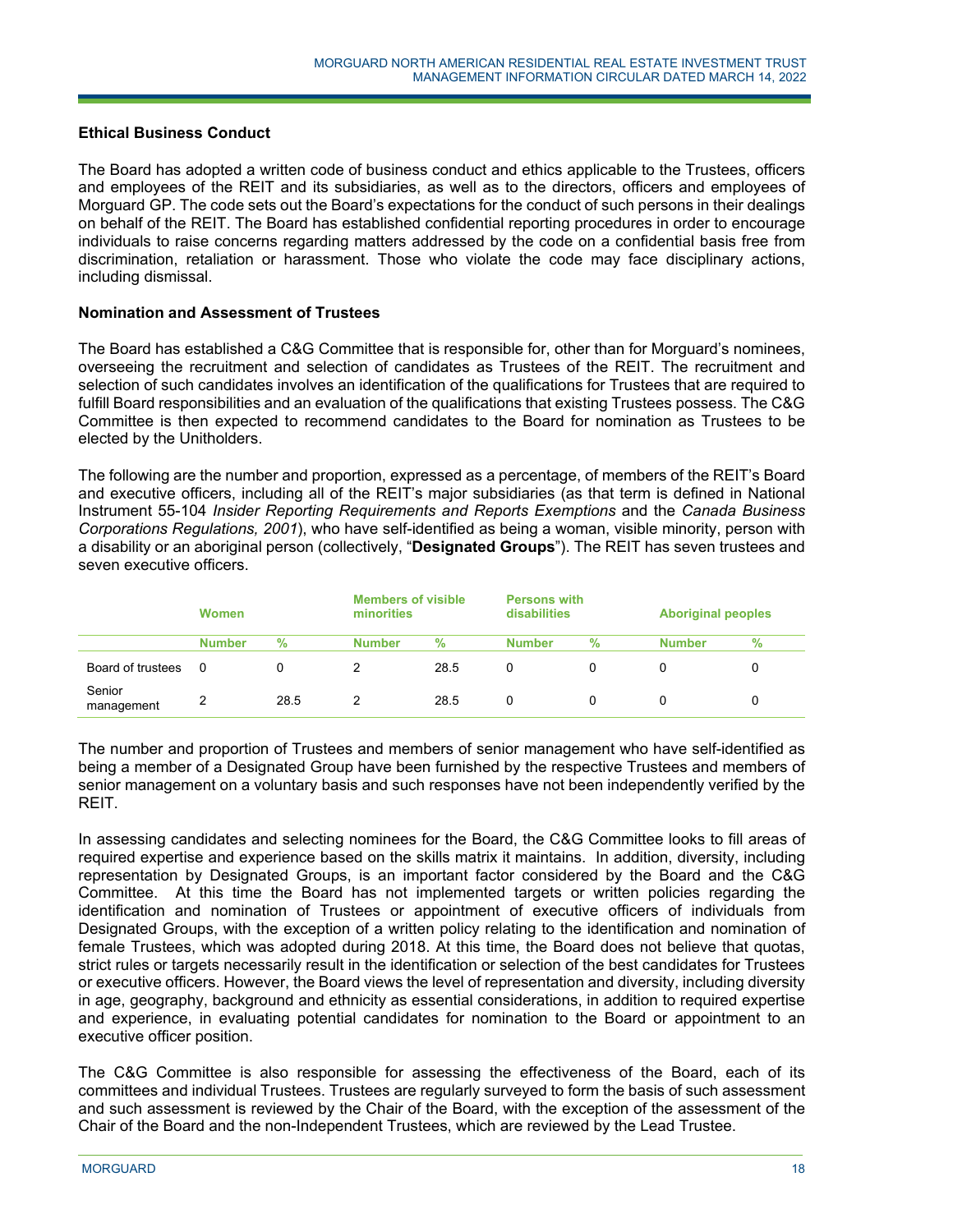## **Ethical Business Conduct**

The Board has adopted a written code of business conduct and ethics applicable to the Trustees, officers and employees of the REIT and its subsidiaries, as well as to the directors, officers and employees of Morguard GP. The code sets out the Board's expectations for the conduct of such persons in their dealings on behalf of the REIT. The Board has established confidential reporting procedures in order to encourage individuals to raise concerns regarding matters addressed by the code on a confidential basis free from discrimination, retaliation or harassment. Those who violate the code may face disciplinary actions, including dismissal.

#### **Nomination and Assessment of Trustees**

The Board has established a C&G Committee that is responsible for, other than for Morguard's nominees, overseeing the recruitment and selection of candidates as Trustees of the REIT. The recruitment and selection of such candidates involves an identification of the qualifications for Trustees that are required to fulfill Board responsibilities and an evaluation of the qualifications that existing Trustees possess. The C&G Committee is then expected to recommend candidates to the Board for nomination as Trustees to be elected by the Unitholders.

The following are the number and proportion, expressed as a percentage, of members of the REIT's Board and executive officers, including all of the REIT's major subsidiaries (as that term is defined in National Instrument 55-104 *Insider Reporting Requirements and Reports Exemptions* and the *Canada Business Corporations Regulations, 2001*), who have self-identified as being a woman, visible minority, person with a disability or an aboriginal person (collectively, "**Designated Groups**"). The REIT has seven trustees and seven executive officers.

|                      | <b>Women</b>  |      | minorities    | <b>Members of visible</b> |               | <b>Persons with</b><br>disabilities |               | <b>Aboriginal peoples</b> |  |
|----------------------|---------------|------|---------------|---------------------------|---------------|-------------------------------------|---------------|---------------------------|--|
|                      | <b>Number</b> | $\%$ | <b>Number</b> | $\%$                      | <b>Number</b> | $\%$                                | <b>Number</b> | %                         |  |
| Board of trustees    | - 0           |      |               | 28.5                      | 0             |                                     |               |                           |  |
| Senior<br>management |               | 28.5 |               | 28.5                      | 0             |                                     |               |                           |  |

The number and proportion of Trustees and members of senior management who have self-identified as being a member of a Designated Group have been furnished by the respective Trustees and members of senior management on a voluntary basis and such responses have not been independently verified by the REIT.

In assessing candidates and selecting nominees for the Board, the C&G Committee looks to fill areas of required expertise and experience based on the skills matrix it maintains. In addition, diversity, including representation by Designated Groups, is an important factor considered by the Board and the C&G Committee. At this time the Board has not implemented targets or written policies regarding the identification and nomination of Trustees or appointment of executive officers of individuals from Designated Groups, with the exception of a written policy relating to the identification and nomination of female Trustees, which was adopted during 2018. At this time, the Board does not believe that quotas, strict rules or targets necessarily result in the identification or selection of the best candidates for Trustees or executive officers. However, the Board views the level of representation and diversity, including diversity in age, geography, background and ethnicity as essential considerations, in addition to required expertise and experience, in evaluating potential candidates for nomination to the Board or appointment to an executive officer position.

The C&G Committee is also responsible for assessing the effectiveness of the Board, each of its committees and individual Trustees. Trustees are regularly surveyed to form the basis of such assessment and such assessment is reviewed by the Chair of the Board, with the exception of the assessment of the Chair of the Board and the non-Independent Trustees, which are reviewed by the Lead Trustee.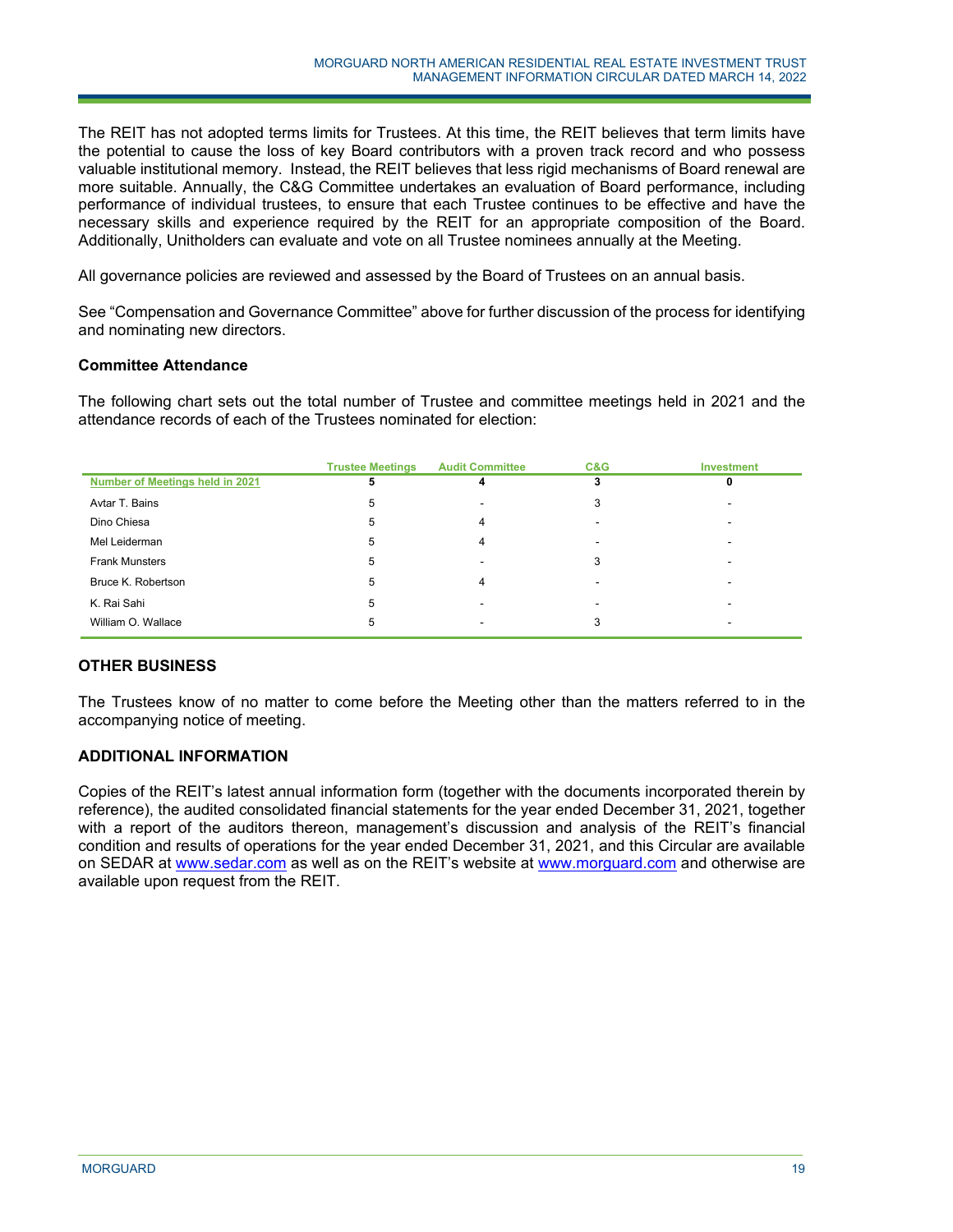The REIT has not adopted terms limits for Trustees. At this time, the REIT believes that term limits have the potential to cause the loss of key Board contributors with a proven track record and who possess valuable institutional memory. Instead, the REIT believes that less rigid mechanisms of Board renewal are more suitable. Annually, the C&G Committee undertakes an evaluation of Board performance, including performance of individual trustees, to ensure that each Trustee continues to be effective and have the necessary skills and experience required by the REIT for an appropriate composition of the Board. Additionally, Unitholders can evaluate and vote on all Trustee nominees annually at the Meeting.

All governance policies are reviewed and assessed by the Board of Trustees on an annual basis.

See "Compensation and Governance Committee" above for further discussion of the process for identifying and nominating new directors.

## **Committee Attendance**

The following chart sets out the total number of Trustee and committee meetings held in 2021 and the attendance records of each of the Trustees nominated for election:

|                                 | <b>Trustee Meetings</b> | <b>Audit Committee</b> | C&G | <b>Investment</b> |
|---------------------------------|-------------------------|------------------------|-----|-------------------|
| Number of Meetings held in 2021 |                         |                        |     |                   |
| Avtar T. Bains                  | 5                       |                        |     |                   |
| Dino Chiesa                     | 5                       |                        |     |                   |
| Mel Leiderman                   | 5                       |                        | ۰   |                   |
| <b>Frank Munsters</b>           | b                       |                        |     |                   |
| Bruce K. Robertson              | 5                       |                        |     |                   |
| K. Rai Sahi                     | 5                       |                        |     |                   |
| William O. Wallace              | b                       |                        |     |                   |

# **OTHER BUSINESS**

The Trustees know of no matter to come before the Meeting other than the matters referred to in the accompanying notice of meeting.

# **ADDITIONAL INFORMATION**

Copies of the REIT's latest annual information form (together with the documents incorporated therein by reference), the audited consolidated financial statements for the year ended December 31, 2021, together with a report of the auditors thereon, management's discussion and analysis of the REIT's financial condition and results of operations for the year ended December 31, 2021, and this Circular are available on SEDAR at www.sedar.com as well as on the REIT's website at www.morguard.com and otherwise are available upon request from the REIT.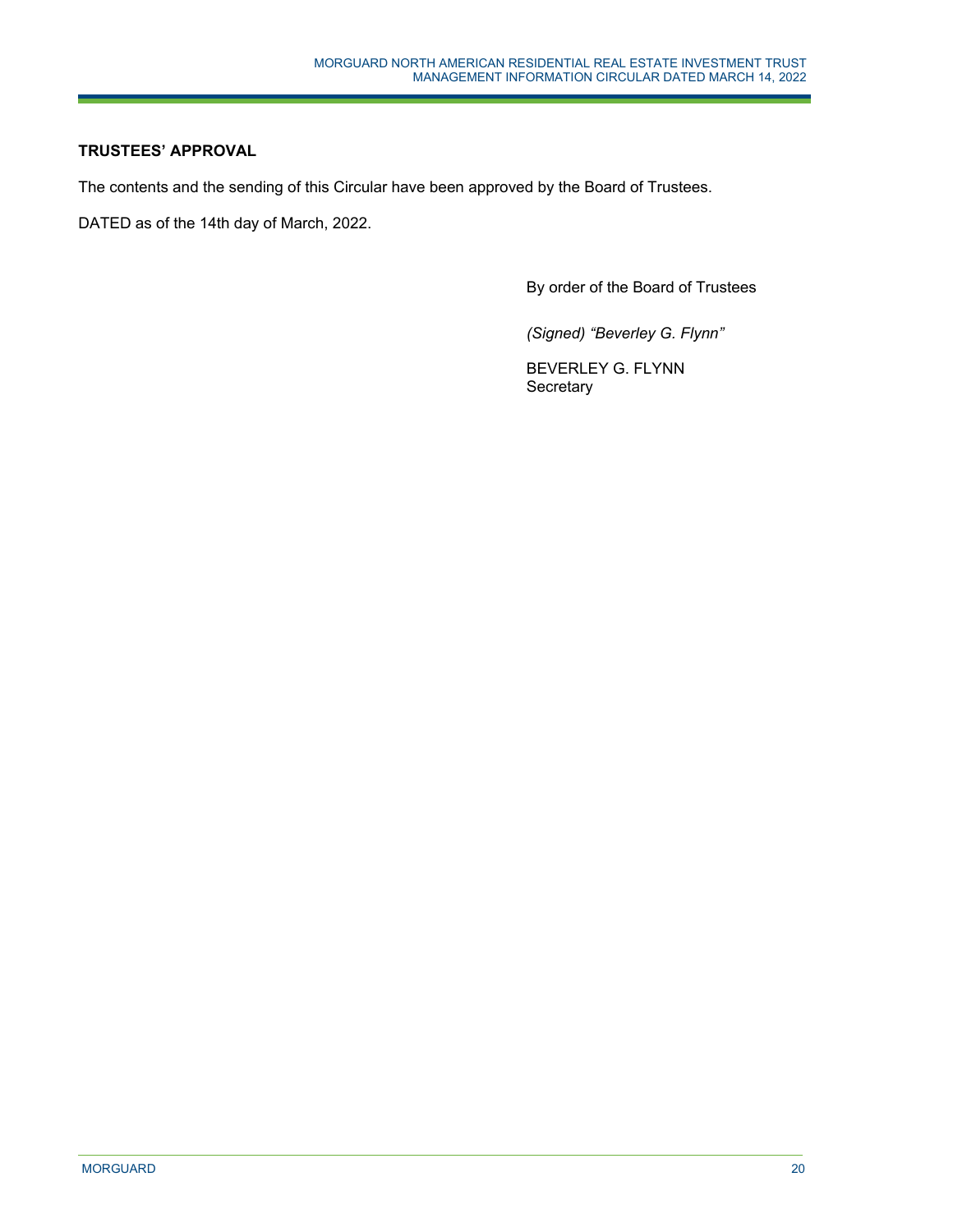# **TRUSTEES' APPROVAL**

The contents and the sending of this Circular have been approved by the Board of Trustees.

DATED as of the 14th day of March, 2022.

By order of the Board of Trustees

*(Signed) "Beverley G. Flynn"* 

BEVERLEY G. FLYNN **Secretary**